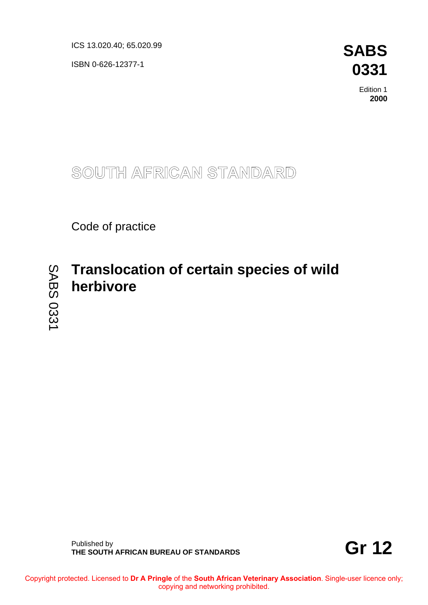ICS 13.020.40; 65.020.99

ISBN 0-626-12377-1

**SABS 0331**

> Edition 1 **2000**

# SOUTH AFRICAN STANDARD

# Code of practice

# **Translocation of certain species of wild herbivore**

 SABS 0331 **SABS 0331** 

> Published by Published by<br>THE SOUTH AFRICAN BUREAU OF STANDARDS **Grid 12**

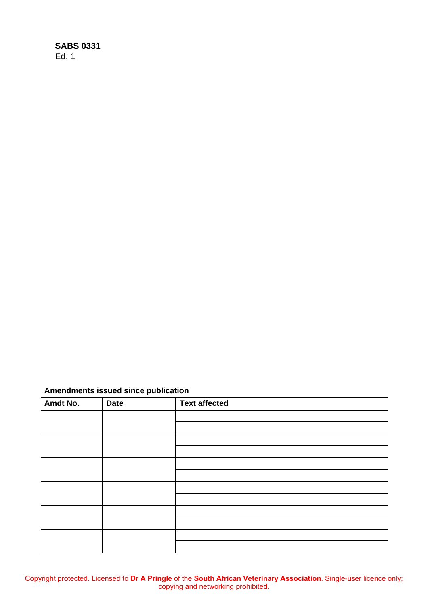Ed. 1

# **Amendments issued since publication**

| Amdt No. | <b>Date</b> | <b>Text affected</b> |
|----------|-------------|----------------------|
|          |             |                      |
|          |             |                      |
|          |             |                      |
|          |             |                      |
|          |             |                      |
|          |             |                      |
|          |             |                      |
|          |             |                      |
|          |             |                      |
|          |             |                      |
|          |             |                      |
|          |             |                      |

Copyright protected. Licensed to **Dr A Pringle** of the **South African Veterinary Association**. Single-user licence only; copying and networking prohibited.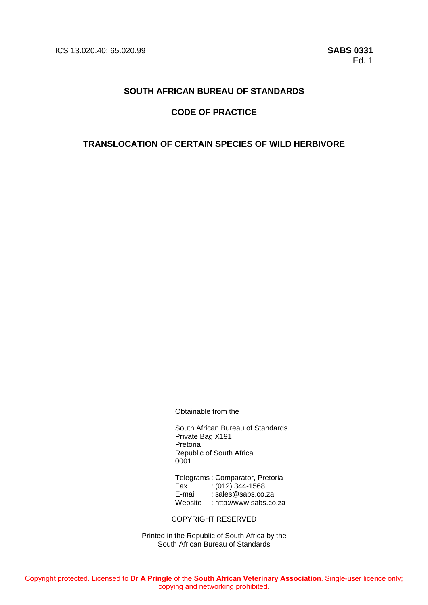# **SOUTH AFRICAN BUREAU OF STANDARDS**

# **CODE OF PRACTICE**

#### **TRANSLOCATION OF CERTAIN SPECIES OF WILD HERBIVORE**

Obtainable from the

South African Bureau of Standards Private Bag X191 Pretoria Republic of South Africa 0001

Telegrams : Comparator, Pretoria Fax : (012) 344-1568 E-mail : sales@sabs.co.za Website : http://www.sabs.co.za

#### COPYRIGHT RESERVED

Printed in the Republic of South Africa by the South African Bureau of Standards

Copyright protected. Licensed to **Dr A Pringle** of the **South African Veterinary Association**. Single-user licence only; copying and networking prohibited.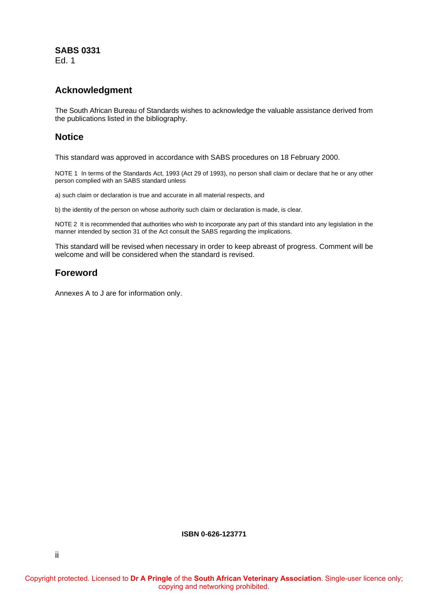Ed. 1

# **Acknowledgment**

The South African Bureau of Standards wishes to acknowledge the valuable assistance derived from the publications listed in the bibliography.

# **Notice**

This standard was approved in accordance with SABS procedures on 18 February 2000.

NOTE 1 In terms of the Standards Act, 1993 (Act 29 of 1993), no person shall claim or declare that he or any other person complied with an SABS standard unless

a) such claim or declaration is true and accurate in all material respects, and

b) the identity of the person on whose authority such claim or declaration is made, is clear.

NOTE 2 It is recommended that authorities who wish to incorporate any part of this standard into any legislation in the manner intended by section 31 of the Act consult the SABS regarding the implications.

This standard will be revised when necessary in order to keep abreast of progress. Comment will be welcome and will be considered when the standard is revised.

# **Foreword**

Annexes A to J are for information only.

**ISBN 0-626-123771**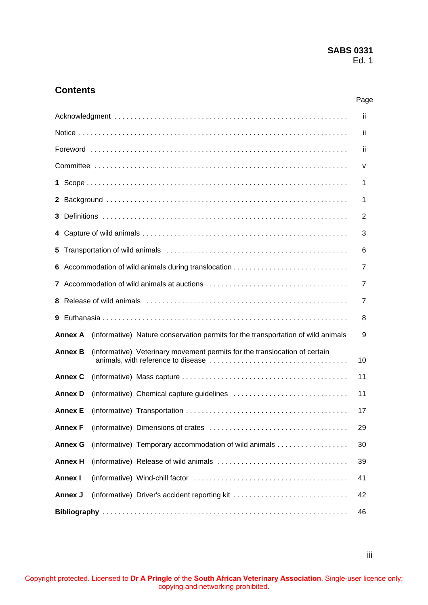# **Contents**

#### Page

|                                                                                                    | -ii |
|----------------------------------------------------------------------------------------------------|-----|
|                                                                                                    | ii  |
|                                                                                                    | ii  |
|                                                                                                    | v   |
|                                                                                                    | 1   |
|                                                                                                    | 1   |
|                                                                                                    | 2   |
|                                                                                                    | 3   |
| 5                                                                                                  | 6   |
|                                                                                                    | 7   |
|                                                                                                    | 7   |
|                                                                                                    | 7   |
|                                                                                                    | 8   |
| (informative) Nature conservation permits for the transportation of wild animals<br><b>Annex A</b> | 9   |
| (informative) Veterinary movement permits for the translocation of certain<br><b>Annex B</b>       | 10  |
| <b>Annex C</b>                                                                                     | 11  |
| <b>Annex D</b><br>(informative) Chemical capture guidelines                                        | 11  |
| <b>Annex E</b>                                                                                     | 17  |
| <b>Annex F</b>                                                                                     | 29  |
| (informative) Temporary accommodation of wild animals<br><b>Annex G</b>                            | 30  |
| <b>Annex H</b>                                                                                     | 39  |
| <b>Annex I</b>                                                                                     | 41  |
| Annex J<br>(informative) Driver's accident reporting kit                                           | 42  |
|                                                                                                    | 46  |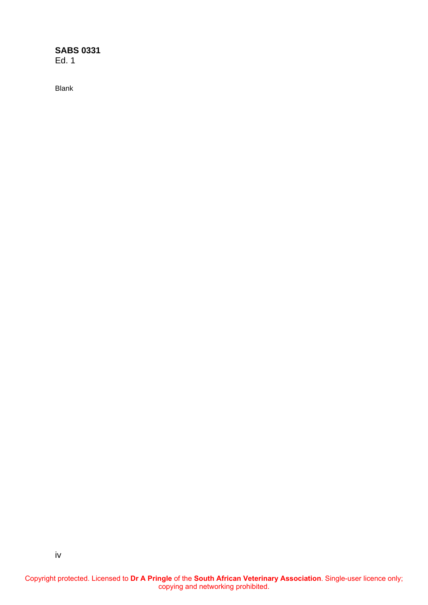**SABS 0331** Ed. 1

Blank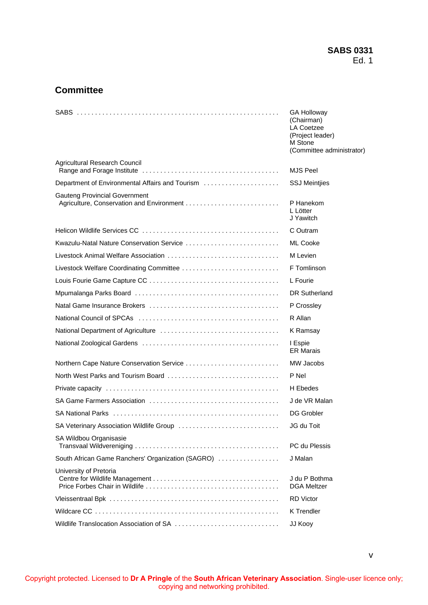# **Committee**

|                                                   | <b>GA Holloway</b><br>(Chairman)<br><b>LA Coetzee</b><br>(Project leader)<br>M Stone<br>(Committee administrator) |
|---------------------------------------------------|-------------------------------------------------------------------------------------------------------------------|
| Agricultural Research Council                     | <b>MJS Peel</b>                                                                                                   |
| Department of Environmental Affairs and Tourism   | <b>SSJ Meintjies</b>                                                                                              |
| <b>Gauteng Provincial Government</b>              | P Hanekom<br>L Lötter<br>J Yawitch                                                                                |
|                                                   | C Outram                                                                                                          |
| Kwazulu-Natal Nature Conservation Service         | <b>ML Cooke</b>                                                                                                   |
|                                                   | M Levien                                                                                                          |
|                                                   | F Tomlinson                                                                                                       |
|                                                   | L Fourie                                                                                                          |
|                                                   | <b>DR Sutherland</b>                                                                                              |
|                                                   | P Crossley                                                                                                        |
|                                                   | R Allan                                                                                                           |
|                                                   | K Ramsay                                                                                                          |
|                                                   | I Espie<br><b>ER Marais</b>                                                                                       |
| Northern Cape Nature Conservation Service         | MW Jacobs                                                                                                         |
|                                                   | P Nel                                                                                                             |
|                                                   | H Ebedes                                                                                                          |
|                                                   | J de VR Malan                                                                                                     |
|                                                   | <b>DG Grobler</b>                                                                                                 |
| SA Veterinary Association Wildlife Group          | JG du Toit                                                                                                        |
| SA Wildbou Organisasie                            | PC du Plessis                                                                                                     |
| South African Game Ranchers' Organization (SAGRO) | J Malan                                                                                                           |
| University of Pretoria                            | J du P Bothma<br><b>DGA Meltzer</b>                                                                               |
|                                                   | <b>RD</b> Victor                                                                                                  |
|                                                   | K Trendler                                                                                                        |
|                                                   | JJ Kooy                                                                                                           |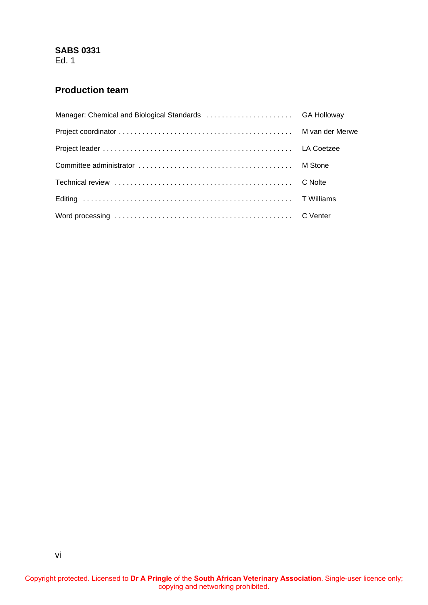Ed. 1

vi

# **Production team**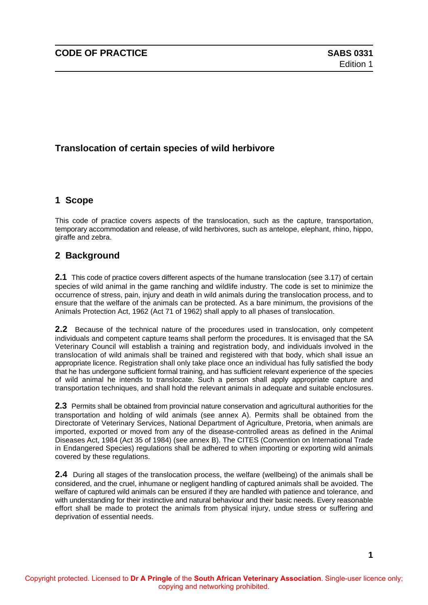# **Translocation of certain species of wild herbivore**

# **1 Scope**

This code of practice covers aspects of the translocation, such as the capture, transportation, temporary accommodation and release, of wild herbivores, such as antelope, elephant, rhino, hippo, giraffe and zebra.

# **2 Background**

**2.1** This code of practice covers different aspects of the humane translocation (see 3.17) of certain species of wild animal in the game ranching and wildlife industry. The code is set to minimize the occurrence of stress, pain, injury and death in wild animals during the translocation process, and to ensure that the welfare of the animals can be protected. As a bare minimum, the provisions of the Animals Protection Act, 1962 (Act 71 of 1962) shall apply to all phases of translocation.

**2.2** Because of the technical nature of the procedures used in translocation, only competent individuals and competent capture teams shall perform the procedures. It is envisaged that the SA Veterinary Council will establish a training and registration body, and individuals involved in the translocation of wild animals shall be trained and registered with that body, which shall issue an appropriate licence. Registration shall only take place once an individual has fully satisfied the body that he has undergone sufficient formal training, and has sufficient relevant experience of the species of wild animal he intends to translocate. Such a person shall apply appropriate capture and transportation techniques, and shall hold the relevant animals in adequate and suitable enclosures.

**2.3** Permits shall be obtained from provincial nature conservation and agricultural authorities for the transportation and holding of wild animals (see annex A). Permits shall be obtained from the Directorate of Veterinary Services, National Department of Agriculture, Pretoria, when animals are imported, exported or moved from any of the disease-controlled areas as defined in the Animal Diseases Act, 1984 (Act 35 of 1984) (see annex B). The CITES (Convention on International Trade in Endangered Species) regulations shall be adhered to when importing or exporting wild animals covered by these regulations.

**2.4** During all stages of the translocation process, the welfare (wellbeing) of the animals shall be considered, and the cruel, inhumane or negligent handling of captured animals shall be avoided. The welfare of captured wild animals can be ensured if they are handled with patience and tolerance, and with understanding for their instinctive and natural behaviour and their basic needs. Every reasonable effort shall be made to protect the animals from physical injury, undue stress or suffering and deprivation of essential needs.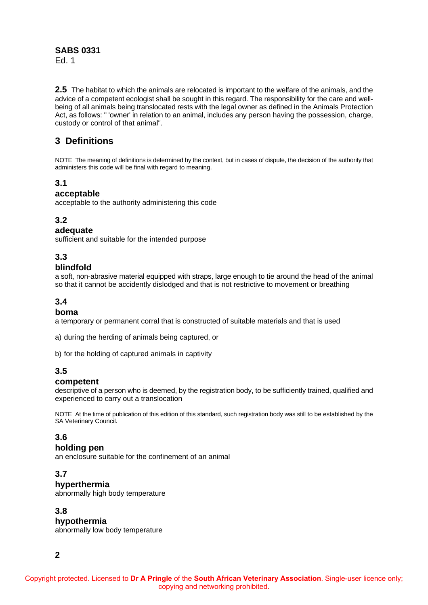Ed. 1

**2.5** The habitat to which the animals are relocated is important to the welfare of the animals, and the advice of a competent ecologist shall be sought in this regard. The responsibility for the care and wellbeing of all animals being translocated rests with the legal owner as defined in the Animals Protection Act, as follows: " 'owner' in relation to an animal, includes any person having the possession, charge, custody or control of that animal".

# **3 Definitions**

NOTE The meaning of definitions is determined by the context, but in cases of dispute, the decision of the authority that administers this code will be final with regard to meaning.

### **3.1**

#### **acceptable**

acceptable to the authority administering this code

### **3.2**

#### **adequate**

sufficient and suitable for the intended purpose

# **3.3**

#### **blindfold**

a soft, non-abrasive material equipped with straps, large enough to tie around the head of the animal so that it cannot be accidently dislodged and that is not restrictive to movement or breathing

### **3.4**

#### **boma**

a temporary or permanent corral that is constructed of suitable materials and that is used

a) during the herding of animals being captured, or

b) for the holding of captured animals in captivity

# **3.5**

#### **competent**

descriptive of a person who is deemed, by the registration body, to be sufficiently trained, qualified and experienced to carry out a translocation

NOTE At the time of publication of this edition of this standard, such registration body was still to be established by the SA Veterinary Council.

#### **3.6**

#### **holding pen**

an enclosure suitable for the confinement of an animal

#### **3.7**

#### **hyperthermia**

abnormally high body temperature

#### **3.8**

#### **hypothermia**

abnormally low body temperature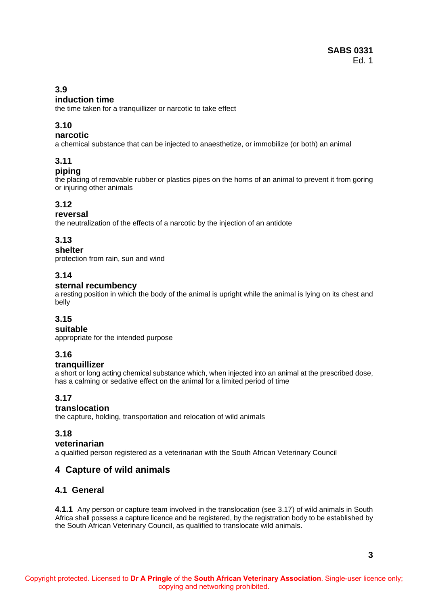# **3.9**

#### **induction time**

the time taken for a tranquillizer or narcotic to take effect

### **3.10**

#### **narcotic**

a chemical substance that can be injected to anaesthetize, or immobilize (or both) an animal

# **3.11**

#### **piping**

the placing of removable rubber or plastics pipes on the horns of an animal to prevent it from goring or injuring other animals

# **3.12**

#### **reversal**

the neutralization of the effects of a narcotic by the injection of an antidote

# **3.13**

**shelter**

protection from rain, sun and wind

# **3.14**

#### **sternal recumbency**

a resting position in which the body of the animal is upright while the animal is lying on its chest and belly

# **3.15**

#### **suitable**

appropriate for the intended purpose

#### **3.16**

#### **tranquillizer**

a short or long acting chemical substance which, when injected into an animal at the prescribed dose, has a calming or sedative effect on the animal for a limited period of time

# **3.17**

#### **translocation**

the capture, holding, transportation and relocation of wild animals

#### **3.18**

#### **veterinarian**

a qualified person registered as a veterinarian with the South African Veterinary Council

# **4 Capture of wild animals**

# **4.1 General**

**4.1.1** Any person or capture team involved in the translocation (see 3.17) of wild animals in South Africa shall possess a capture licence and be registered, by the registration body to be established by the South African Veterinary Council, as qualified to translocate wild animals.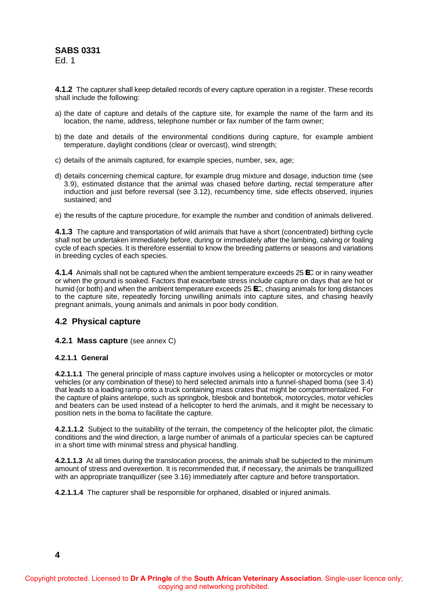**SABS 0331** Ed. 1

**4.1.2** The capturer shall keep detailed records of every capture operation in a register. These records shall include the following:

- a) the date of capture and details of the capture site, for example the name of the farm and its location, the name, address, telephone number or fax number of the farm owner;
- b) the date and details of the environmental conditions during capture, for example ambient temperature, daylight conditions (clear or overcast), wind strength;
- c) details of the animals captured, for example species, number, sex, age;
- d) details concerning chemical capture, for example drug mixture and dosage, induction time (see 3.9), estimated distance that the animal was chased before darting, rectal temperature after induction and just before reversal (see 3.12), recumbency time, side effects observed, injuries sustained; and
- e) the results of the capture procedure, for example the number and condition of animals delivered.

**4.1.3** The capture and transportation of wild animals that have a short (concentrated) birthing cycle shall not be undertaken immediately before, during or immediately after the lambing, calving or foaling cycle of each species. It is therefore essential to know the breeding patterns or seasons and variations in breeding cycles of each species.

**4.1.4** Animals shall not be captured when the ambient temperature exceeds 25 **E**C or in rainy weather or when the ground is soaked. Factors that exacerbate stress include capture on days that are hot or humid (or both) and when the ambient temperature exceeds 25 **E**C, chasing animals for long distances to the capture site, repeatedly forcing unwilling animals into capture sites, and chasing heavily pregnant animals, young animals and animals in poor body condition.

#### **4.2 Physical capture**

#### **4.2.1 Mass capture** (see annex C)

#### **4.2.1.1 General**

**4.2.1.1.1** The general principle of mass capture involves using a helicopter or motorcycles or motor vehicles (or any combination of these) to herd selected animals into a funnel-shaped boma (see 3.4) that leads to a loading ramp onto a truck containing mass crates that might be compartmentalized. For the capture of plains antelope, such as springbok, blesbok and bontebok, motorcycles, motor vehicles and beaters can be used instead of a helicopter to herd the animals, and it might be necessary to position nets in the boma to facilitate the capture.

**4.2.1.1.2** Subject to the suitability of the terrain, the competency of the helicopter pilot, the climatic conditions and the wind direction, a large number of animals of a particular species can be captured in a short time with minimal stress and physical handling.

**4.2.1.1.3** At all times during the translocation process, the animals shall be subjected to the minimum amount of stress and overexertion. It is recommended that, if necessary, the animals be tranquillized with an appropriate tranquillizer (see 3.16) immediately after capture and before transportation.

**4.2.1.1.4** The capturer shall be responsible for orphaned, disabled or injured animals.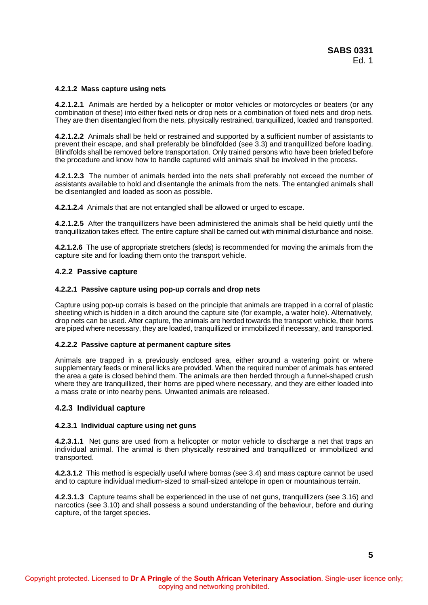#### **4.2.1.2 Mass capture using nets**

**4.2.1.2.1** Animals are herded by a helicopter or motor vehicles or motorcycles or beaters (or any combination of these) into either fixed nets or drop nets or a combination of fixed nets and drop nets. They are then disentangled from the nets, physically restrained, tranquillized, loaded and transported.

**4.2.1.2.2** Animals shall be held or restrained and supported by a sufficient number of assistants to prevent their escape, and shall preferably be blindfolded (see 3.3) and tranquillized before loading. Blindfolds shall be removed before transportation. Only trained persons who have been briefed before the procedure and know how to handle captured wild animals shall be involved in the process.

**4.2.1.2.3** The number of animals herded into the nets shall preferably not exceed the number of assistants available to hold and disentangle the animals from the nets. The entangled animals shall be disentangled and loaded as soon as possible.

**4.2.1.2.4** Animals that are not entangled shall be allowed or urged to escape.

**4.2.1.2.5** After the tranquillizers have been administered the animals shall be held quietly until the tranquillization takes effect. The entire capture shall be carried out with minimal disturbance and noise.

**4.2.1.2.6** The use of appropriate stretchers (sleds) is recommended for moving the animals from the capture site and for loading them onto the transport vehicle.

#### **4.2.2 Passive capture**

#### **4.2.2.1 Passive capture using pop-up corrals and drop nets**

Capture using pop-up corrals is based on the principle that animals are trapped in a corral of plastic sheeting which is hidden in a ditch around the capture site (for example, a water hole). Alternatively, drop nets can be used. After capture, the animals are herded towards the transport vehicle, their horns are piped where necessary, they are loaded, tranquillized or immobilized if necessary, and transported.

#### **4.2.2.2 Passive capture at permanent capture sites**

Animals are trapped in a previously enclosed area, either around a watering point or where supplementary feeds or mineral licks are provided. When the required number of animals has entered the area a gate is closed behind them. The animals are then herded through a funnel-shaped crush where they are tranquillized, their horns are piped where necessary, and they are either loaded into a mass crate or into nearby pens. Unwanted animals are released.

#### **4.2.3 Individual capture**

#### **4.2.3.1 Individual capture using net guns**

**4.2.3.1.1** Net guns are used from a helicopter or motor vehicle to discharge a net that traps an individual animal. The animal is then physically restrained and tranquillized or immobilized and transported.

**4.2.3.1.2** This method is especially useful where bomas (see 3.4) and mass capture cannot be used and to capture individual medium-sized to small-sized antelope in open or mountainous terrain.

**4.2.3.1.3** Capture teams shall be experienced in the use of net guns, tranquillizers (see 3.16) and narcotics (see 3.10) and shall possess a sound understanding of the behaviour, before and during capture, of the target species.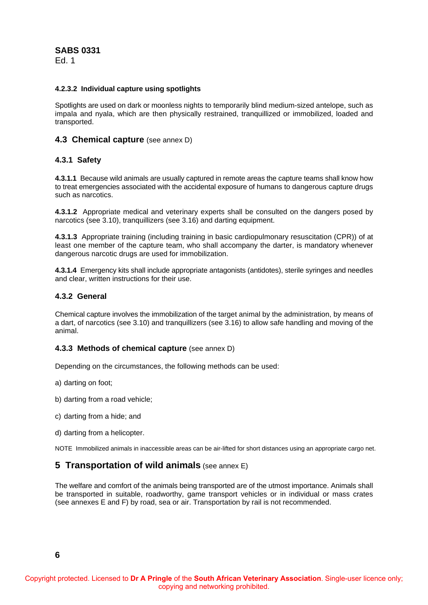Ed. 1

#### **4.2.3.2 Individual capture using spotlights**

Spotlights are used on dark or moonless nights to temporarily blind medium-sized antelope, such as impala and nyala, which are then physically restrained, tranquillized or immobilized, loaded and transported.

#### **4.3 Chemical capture** (see annex D)

#### **4.3.1 Safety**

**4.3.1.1** Because wild animals are usually captured in remote areas the capture teams shall know how to treat emergencies associated with the accidental exposure of humans to dangerous capture drugs such as narcotics.

**4.3.1.2** Appropriate medical and veterinary experts shall be consulted on the dangers posed by narcotics (see 3.10), tranquillizers (see 3.16) and darting equipment.

**4.3.1.3** Appropriate training (including training in basic cardiopulmonary resuscitation (CPR)) of at least one member of the capture team, who shall accompany the darter, is mandatory whenever dangerous narcotic drugs are used for immobilization.

**4.3.1.4** Emergency kits shall include appropriate antagonists (antidotes), sterile syringes and needles and clear, written instructions for their use.

#### **4.3.2 General**

Chemical capture involves the immobilization of the target animal by the administration, by means of a dart, of narcotics (see 3.10) and tranquillizers (see 3.16) to allow safe handling and moving of the animal.

#### **4.3.3 Methods of chemical capture** (see annex D)

Depending on the circumstances, the following methods can be used:

a) darting on foot;

b) darting from a road vehicle;

c) darting from a hide; and

d) darting from a helicopter.

NOTE Immobilized animals in inaccessible areas can be air-lifted for short distances using an appropriate cargo net.

# **5 Transportation of wild animals** (see annex E)

The welfare and comfort of the animals being transported are of the utmost importance. Animals shall be transported in suitable, roadworthy, game transport vehicles or in individual or mass crates (see annexes E and F) by road, sea or air. Transportation by rail is not recommended.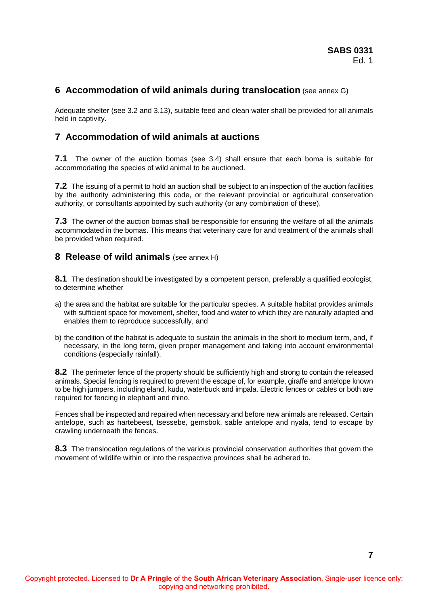**7**

# **6 Accommodation of wild animals during translocation** (see annex G)

Adequate shelter (see 3.2 and 3.13), suitable feed and clean water shall be provided for all animals held in captivity.

# **7 Accommodation of wild animals at auctions**

**7.1** The owner of the auction bomas (see 3.4) shall ensure that each boma is suitable for accommodating the species of wild animal to be auctioned.

**7.2** The issuing of a permit to hold an auction shall be subject to an inspection of the auction facilities by the authority administering this code, or the relevant provincial or agricultural conservation authority, or consultants appointed by such authority (or any combination of these).

**7.3** The owner of the auction bomas shall be responsible for ensuring the welfare of all the animals accommodated in the bomas. This means that veterinary care for and treatment of the animals shall be provided when required.

#### **8 Release of wild animals** (see annex H)

**8.1** The destination should be investigated by a competent person, preferably a qualified ecologist, to determine whether

- a) the area and the habitat are suitable for the particular species. A suitable habitat provides animals with sufficient space for movement, shelter, food and water to which they are naturally adapted and enables them to reproduce successfully, and
- b) the condition of the habitat is adequate to sustain the animals in the short to medium term, and, if necessary, in the long term, given proper management and taking into account environmental conditions (especially rainfall).

**8.2** The perimeter fence of the property should be sufficiently high and strong to contain the released animals. Special fencing is required to prevent the escape of, for example, giraffe and antelope known to be high jumpers, including eland, kudu, waterbuck and impala. Electric fences or cables or both are required for fencing in elephant and rhino.

Fences shall be inspected and repaired when necessary and before new animals are released. Certain antelope, such as hartebeest, tsessebe, gemsbok, sable antelope and nyala, tend to escape by crawling underneath the fences.

**8.3** The translocation regulations of the various provincial conservation authorities that govern the movement of wildlife within or into the respective provinces shall be adhered to.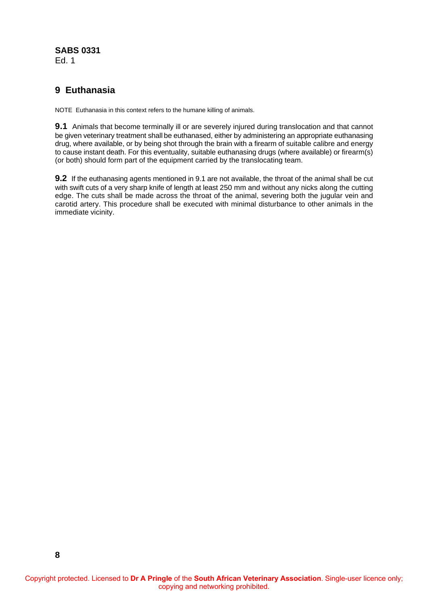Ed. 1

# **9 Euthanasia**

NOTE Euthanasia in this context refers to the humane killing of animals.

**9.1** Animals that become terminally ill or are severely injured during translocation and that cannot be given veterinary treatment shall be euthanased, either by administering an appropriate euthanasing drug, where available, or by being shot through the brain with a firearm of suitable calibre and energy to cause instant death. For this eventuality, suitable euthanasing drugs (where available) or firearm(s) (or both) should form part of the equipment carried by the translocating team.

**9.2** If the euthanasing agents mentioned in 9.1 are not available, the throat of the animal shall be cut with swift cuts of a very sharp knife of length at least 250 mm and without any nicks along the cutting edge. The cuts shall be made across the throat of the animal, severing both the jugular vein and carotid artery. This procedure shall be executed with minimal disturbance to other animals in the immediate vicinity.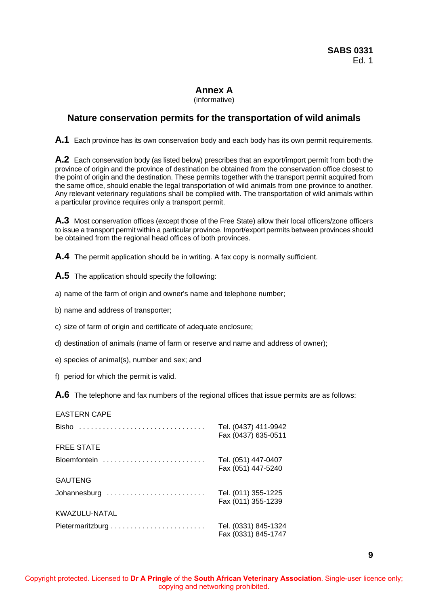# **Annex A**

(informative)

# **Nature conservation permits for the transportation of wild animals**

A.1 Each province has its own conservation body and each body has its own permit requirements.

**A.2** Each conservation body (as listed below) prescribes that an export/import permit from both the province of origin and the province of destination be obtained from the conservation office closest to the point of origin and the destination. These permits together with the transport permit acquired from the same office, should enable the legal transportation of wild animals from one province to another. Any relevant veterinary regulations shall be complied with. The transportation of wild animals within a particular province requires only a transport permit.

A.3 Most conservation offices (except those of the Free State) allow their local officers/zone officers to issue a transport permit within a particular province. Import/export permits between provinces should be obtained from the regional head offices of both provinces.

**A.4** The permit application should be in writing. A fax copy is normally sufficient.

**A.5** The application should specify the following:

a) name of the farm of origin and owner's name and telephone number;

b) name and address of transporter;

c) size of farm of origin and certificate of adequate enclosure;

d) destination of animals (name of farm or reserve and name and address of owner);

e) species of animal(s), number and sex; and

f) period for which the permit is valid.

**A.6** The telephone and fax numbers of the regional offices that issue permits are as follows:

#### EASTERN CAPE

|                   | Tel. (0437) 411-9942<br>Fax (0437) 635-0511 |
|-------------------|---------------------------------------------|
| <b>FREE STATE</b> |                                             |
| Bloemfontein      | Tel. (051) 447-0407<br>Fax (051) 447-5240   |
| <b>GAUTENG</b>    |                                             |
| Johannesburg      | Tel. (011) 355-1225<br>Fax (011) 355-1239   |
| KWAZULU-NATAL     |                                             |
|                   | Tel. (0331) 845-1324<br>Fax (0331) 845-1747 |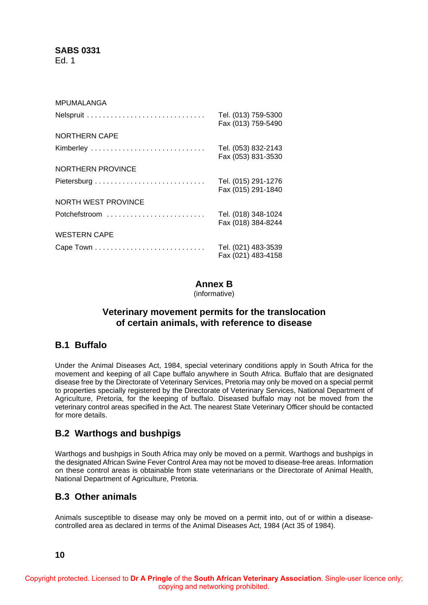| <b>MPUMALANGA</b>        |                                           |
|--------------------------|-------------------------------------------|
|                          | Tel. (013) 759-5300<br>Fax (013) 759-5490 |
| <b>NORTHERN CAPE</b>     |                                           |
|                          | Tel. (053) 832-2143<br>Fax (053) 831-3530 |
| <b>NORTHERN PROVINCE</b> |                                           |
|                          | Tel. (015) 291-1276<br>Fax (015) 291-1840 |
| NORTH WEST PROVINCE      |                                           |
|                          | Tel. (018) 348-1024<br>Fax (018) 384-8244 |
| <b>WESTERN CAPE</b>      |                                           |
|                          | Tel. (021) 483-3539<br>Fax (021) 483-4158 |

#### **Annex B**

(informative)

# **Veterinary movement permits for the translocation of certain animals, with reference to disease**

# **B.1 Buffalo**

Under the Animal Diseases Act, 1984, special veterinary conditions apply in South Africa for the movement and keeping of all Cape buffalo anywhere in South Africa. Buffalo that are designated disease free by the Directorate of Veterinary Services, Pretoria may only be moved on a special permit to properties specially registered by the Directorate of Veterinary Services, National Department of Agriculture, Pretoria, for the keeping of buffalo. Diseased buffalo may not be moved from the veterinary control areas specified in the Act. The nearest State Veterinary Officer should be contacted for more details.

# **B.2 Warthogs and bushpigs**

Warthogs and bushpigs in South Africa may only be moved on a permit. Warthogs and bushpigs in the designated African Swine Fever Control Area may not be moved to disease-free areas. Information on these control areas is obtainable from state veterinarians or the Directorate of Animal Health, National Department of Agriculture, Pretoria.

# **B.3 Other animals**

Animals susceptible to disease may only be moved on a permit into, out of or within a diseasecontrolled area as declared in terms of the Animal Diseases Act, 1984 (Act 35 of 1984).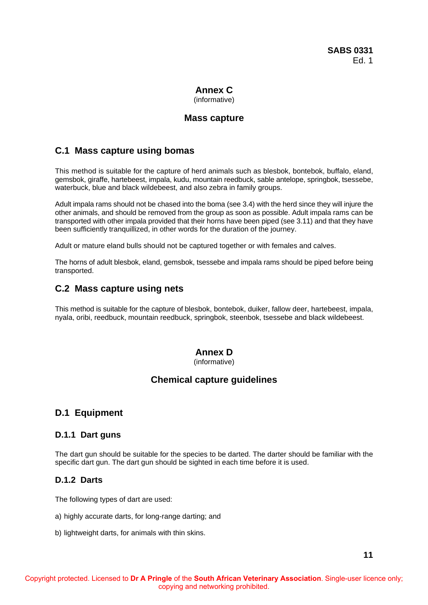# **Annex C**

(informative)

### **Mass capture**

# **C.1 Mass capture using bomas**

This method is suitable for the capture of herd animals such as blesbok, bontebok, buffalo, eland, gemsbok, giraffe, hartebeest, impala, kudu, mountain reedbuck, sable antelope, springbok, tsessebe, waterbuck, blue and black wildebeest, and also zebra in family groups.

Adult impala rams should not be chased into the boma (see 3.4) with the herd since they will injure the other animals, and should be removed from the group as soon as possible. Adult impala rams can be transported with other impala provided that their horns have been piped (see 3.11) and that they have been sufficiently tranquillized, in other words for the duration of the journey.

Adult or mature eland bulls should not be captured together or with females and calves.

The horns of adult blesbok, eland, gemsbok, tsessebe and impala rams should be piped before being transported.

### **C.2 Mass capture using nets**

This method is suitable for the capture of blesbok, bontebok, duiker, fallow deer, hartebeest, impala, nyala, oribi, reedbuck, mountain reedbuck, springbok, steenbok, tsessebe and black wildebeest.

# **Annex D**

(informative)

# **Chemical capture guidelines**

# **D.1 Equipment**

#### **D.1.1 Dart guns**

The dart gun should be suitable for the species to be darted. The darter should be familiar with the specific dart gun. The dart gun should be sighted in each time before it is used.

#### **D.1.2 Darts**

The following types of dart are used:

- a) highly accurate darts, for long-range darting; and
- b) lightweight darts, for animals with thin skins.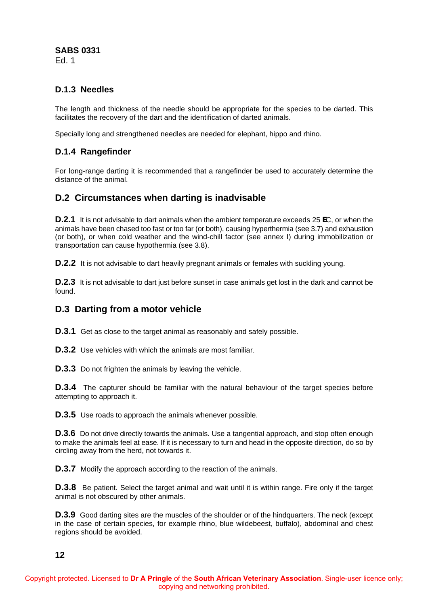Ed. 1

# **D.1.3 Needles**

The length and thickness of the needle should be appropriate for the species to be darted. This facilitates the recovery of the dart and the identification of darted animals.

Specially long and strengthened needles are needed for elephant, hippo and rhino.

# **D.1.4 Rangefinder**

For long-range darting it is recommended that a rangefinder be used to accurately determine the distance of the animal.

# **D.2 Circumstances when darting is inadvisable**

**D.2.1** It is not advisable to dart animals when the ambient temperature exceeds 25 **E**C, or when the animals have been chased too fast or too far (or both), causing hyperthermia (see 3.7) and exhaustion (or both), or when cold weather and the wind-chill factor (see annex I) during immobilization or transportation can cause hypothermia (see 3.8).

**D.2.2** It is not advisable to dart heavily pregnant animals or females with suckling young.

**D.2.3** It is not advisable to dart just before sunset in case animals get lost in the dark and cannot be found.

# **D.3 Darting from a motor vehicle**

**D.3.1** Get as close to the target animal as reasonably and safely possible.

**D.3.2** Use vehicles with which the animals are most familiar.

**D.3.3** Do not frighten the animals by leaving the vehicle.

**D.3.4** The capturer should be familiar with the natural behaviour of the target species before attempting to approach it.

**D.3.5** Use roads to approach the animals whenever possible.

**D.3.6** Do not drive directly towards the animals. Use a tangential approach, and stop often enough to make the animals feel at ease. If it is necessary to turn and head in the opposite direction, do so by circling away from the herd, not towards it.

**D.3.7** Modify the approach according to the reaction of the animals.

**D.3.8** Be patient. Select the target animal and wait until it is within range. Fire only if the target animal is not obscured by other animals.

**D.3.9** Good darting sites are the muscles of the shoulder or of the hindquarters. The neck (except in the case of certain species, for example rhino, blue wildebeest, buffalo), abdominal and chest regions should be avoided.

**12**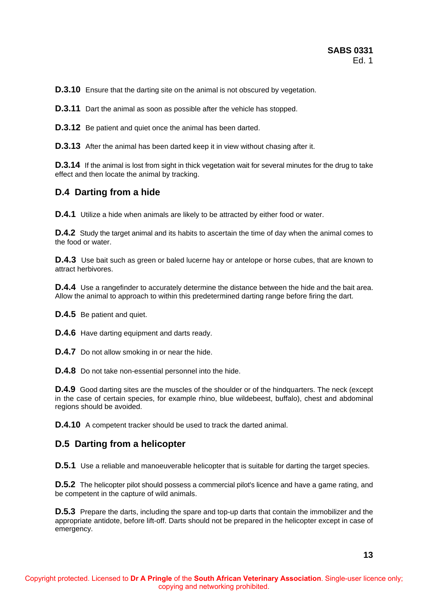**D.3.10** Ensure that the darting site on the animal is not obscured by vegetation.

**D.3.11** Dart the animal as soon as possible after the vehicle has stopped.

**D.3.12** Be patient and quiet once the animal has been darted.

**D.3.13** After the animal has been darted keep it in view without chasing after it.

**D.3.14** If the animal is lost from sight in thick vegetation wait for several minutes for the drug to take effect and then locate the animal by tracking.

# **D.4 Darting from a hide**

**D.4.1** Utilize a hide when animals are likely to be attracted by either food or water.

**D.4.2** Study the target animal and its habits to ascertain the time of day when the animal comes to the food or water.

**D.4.3** Use bait such as green or baled lucerne hay or antelope or horse cubes, that are known to attract herbivores.

**D.4.4** Use a rangefinder to accurately determine the distance between the hide and the bait area. Allow the animal to approach to within this predetermined darting range before firing the dart.

**D.4.5** Be patient and quiet.

**D.4.6** Have darting equipment and darts ready.

**D.4.7** Do not allow smoking in or near the hide.

**D.4.8** Do not take non-essential personnel into the hide.

**D.4.9** Good darting sites are the muscles of the shoulder or of the hindquarters. The neck (except in the case of certain species, for example rhino, blue wildebeest, buffalo), chest and abdominal regions should be avoided.

**D.4.10** A competent tracker should be used to track the darted animal.

# **D.5 Darting from a helicopter**

**D.5.1** Use a reliable and manoeuverable helicopter that is suitable for darting the target species.

**D.5.2** The helicopter pilot should possess a commercial pilot's licence and have a game rating, and be competent in the capture of wild animals.

**D.5.3** Prepare the darts, including the spare and top-up darts that contain the immobilizer and the appropriate antidote, before lift-off. Darts should not be prepared in the helicopter except in case of emergency.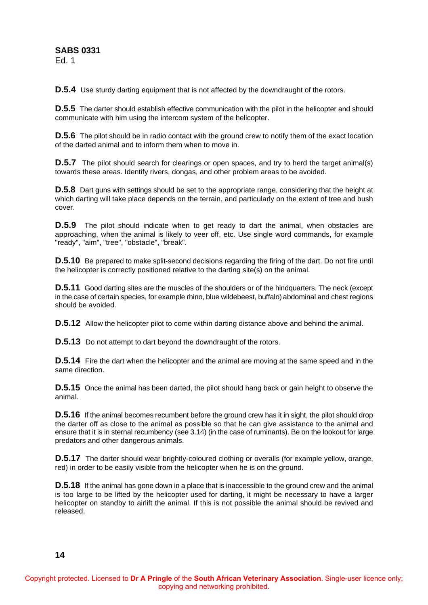Ed. 1

**D.5.4** Use sturdy darting equipment that is not affected by the downdraught of the rotors.

**D.5.5** The darter should establish effective communication with the pilot in the helicopter and should communicate with him using the intercom system of the helicopter.

**D.5.6** The pilot should be in radio contact with the ground crew to notify them of the exact location of the darted animal and to inform them when to move in.

**D.5.7** The pilot should search for clearings or open spaces, and try to herd the target animal(s) towards these areas. Identify rivers, dongas, and other problem areas to be avoided.

**D.5.8** Dart guns with settings should be set to the appropriate range, considering that the height at which darting will take place depends on the terrain, and particularly on the extent of tree and bush cover.

**D.5.9** The pilot should indicate when to get ready to dart the animal, when obstacles are approaching, when the animal is likely to veer off, etc. Use single word commands, for example "ready", "aim", "tree", "obstacle", "break".

**D.5.10** Be prepared to make split-second decisions regarding the firing of the dart. Do not fire until the helicopter is correctly positioned relative to the darting site(s) on the animal.

**D.5.11** Good darting sites are the muscles of the shoulders or of the hindquarters. The neck (except in the case of certain species, for example rhino, blue wildebeest, buffalo) abdominal and chest regions should be avoided.

**D.5.12** Allow the helicopter pilot to come within darting distance above and behind the animal.

**D.5.13** Do not attempt to dart beyond the downdraught of the rotors.

**D.5.14** Fire the dart when the helicopter and the animal are moving at the same speed and in the same direction.

**D.5.15** Once the animal has been darted, the pilot should hang back or gain height to observe the animal.

**D.5.16** If the animal becomes recumbent before the ground crew has it in sight, the pilot should drop the darter off as close to the animal as possible so that he can give assistance to the animal and ensure that it is in sternal recumbency (see 3.14) (in the case of ruminants). Be on the lookout for large predators and other dangerous animals.

**D.5.17** The darter should wear brightly-coloured clothing or overalls (for example yellow, orange, red) in order to be easily visible from the helicopter when he is on the ground.

**D.5.18** If the animal has gone down in a place that is inaccessible to the ground crew and the animal is too large to be lifted by the helicopter used for darting, it might be necessary to have a larger helicopter on standby to airlift the animal. If this is not possible the animal should be revived and released.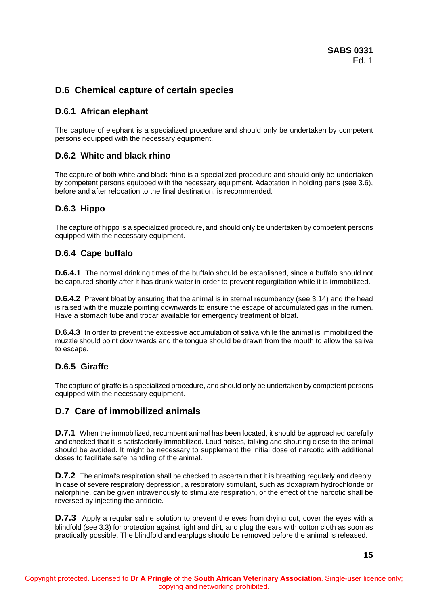# **D.6 Chemical capture of certain species**

### **D.6.1 African elephant**

The capture of elephant is a specialized procedure and should only be undertaken by competent persons equipped with the necessary equipment.

### **D.6.2 White and black rhino**

The capture of both white and black rhino is a specialized procedure and should only be undertaken by competent persons equipped with the necessary equipment. Adaptation in holding pens (see 3.6), before and after relocation to the final destination, is recommended.

### **D.6.3 Hippo**

The capture of hippo is a specialized procedure, and should only be undertaken by competent persons equipped with the necessary equipment.

#### **D.6.4 Cape buffalo**

**D.6.4.1** The normal drinking times of the buffalo should be established, since a buffalo should not be captured shortly after it has drunk water in order to prevent regurgitation while it is immobilized.

**D.6.4.2** Prevent bloat by ensuring that the animal is in sternal recumbency (see 3.14) and the head is raised with the muzzle pointing downwards to ensure the escape of accumulated gas in the rumen. Have a stomach tube and trocar available for emergency treatment of bloat.

**D.6.4.3** In order to prevent the excessive accumulation of saliva while the animal is immobilized the muzzle should point downwards and the tongue should be drawn from the mouth to allow the saliva to escape.

#### **D.6.5 Giraffe**

The capture of giraffe is a specialized procedure, and should only be undertaken by competent persons equipped with the necessary equipment.

# **D.7 Care of immobilized animals**

**D.7.1** When the immobilized, recumbent animal has been located, it should be approached carefully and checked that it is satisfactorily immobilized. Loud noises, talking and shouting close to the animal should be avoided. It might be necessary to supplement the initial dose of narcotic with additional doses to facilitate safe handling of the animal.

**D.7.2** The animal's respiration shall be checked to ascertain that it is breathing regularly and deeply. In case of severe respiratory depression, a respiratory stimulant, such as doxapram hydrochloride or nalorphine, can be given intravenously to stimulate respiration, or the effect of the narcotic shall be reversed by injecting the antidote.

**D.7.3** Apply a regular saline solution to prevent the eyes from drying out, cover the eyes with a blindfold (see 3.3) for protection against light and dirt, and plug the ears with cotton cloth as soon as practically possible. The blindfold and earplugs should be removed before the animal is released.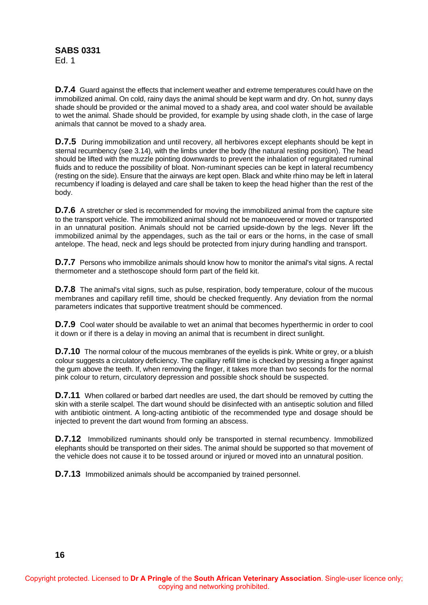**D.7.4** Guard against the effects that inclement weather and extreme temperatures could have on the immobilized animal. On cold, rainy days the animal should be kept warm and dry. On hot, sunny days shade should be provided or the animal moved to a shady area, and cool water should be available to wet the animal. Shade should be provided, for example by using shade cloth, in the case of large animals that cannot be moved to a shady area.

**D.7.5** During immobilization and until recovery, all herbivores except elephants should be kept in sternal recumbency (see 3.14), with the limbs under the body (the natural resting position). The head should be lifted with the muzzle pointing downwards to prevent the inhalation of regurgitated ruminal fluids and to reduce the possibility of bloat. Non-ruminant species can be kept in lateral recumbency (resting on the side). Ensure that the airways are kept open. Black and white rhino may be left in lateral recumbency if loading is delayed and care shall be taken to keep the head higher than the rest of the body.

**D.7.6** A stretcher or sled is recommended for moving the immobilized animal from the capture site to the transport vehicle. The immobilized animal should not be manoeuvered or moved or transported in an unnatural position. Animals should not be carried upside-down by the legs. Never lift the immobilized animal by the appendages, such as the tail or ears or the horns, in the case of small antelope. The head, neck and legs should be protected from injury during handling and transport.

**D.7.7** Persons who immobilize animals should know how to monitor the animal's vital signs. A rectal thermometer and a stethoscope should form part of the field kit.

**D.7.8** The animal's vital signs, such as pulse, respiration, body temperature, colour of the mucous membranes and capillary refill time, should be checked frequently. Any deviation from the normal parameters indicates that supportive treatment should be commenced.

**D.7.9** Cool water should be available to wet an animal that becomes hyperthermic in order to cool it down or if there is a delay in moving an animal that is recumbent in direct sunlight.

**D.7.10** The normal colour of the mucous membranes of the eyelids is pink. White or grey, or a bluish colour suggests a circulatory deficiency. The capillary refill time is checked by pressing a finger against the gum above the teeth. If, when removing the finger, it takes more than two seconds for the normal pink colour to return, circulatory depression and possible shock should be suspected.

**D.7.11** When collared or barbed dart needles are used, the dart should be removed by cutting the skin with a sterile scalpel. The dart wound should be disinfected with an antiseptic solution and filled with antibiotic ointment. A long-acting antibiotic of the recommended type and dosage should be injected to prevent the dart wound from forming an abscess.

**D.7.12** Immobilized ruminants should only be transported in sternal recumbency. Immobilized elephants should be transported on their sides. The animal should be supported so that movement of the vehicle does not cause it to be tossed around or injured or moved into an unnatural position.

**D.7.13** Immobilized animals should be accompanied by trained personnel.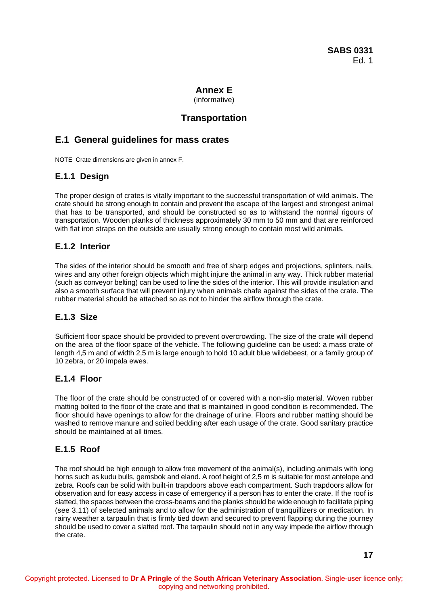# **Annex E**

(informative)

# **Transportation**

# **E.1 General guidelines for mass crates**

NOTE Crate dimensions are given in annex F.

# **E.1.1 Design**

The proper design of crates is vitally important to the successful transportation of wild animals. The crate should be strong enough to contain and prevent the escape of the largest and strongest animal that has to be transported, and should be constructed so as to withstand the normal rigours of transportation. Wooden planks of thickness approximately 30 mm to 50 mm and that are reinforced with flat iron straps on the outside are usually strong enough to contain most wild animals.

# **E.1.2 Interior**

The sides of the interior should be smooth and free of sharp edges and projections, splinters, nails, wires and any other foreign objects which might injure the animal in any way. Thick rubber material (such as conveyor belting) can be used to line the sides of the interior. This will provide insulation and also a smooth surface that will prevent injury when animals chafe against the sides of the crate. The rubber material should be attached so as not to hinder the airflow through the crate.

#### **E.1.3 Size**

Sufficient floor space should be provided to prevent overcrowding. The size of the crate will depend on the area of the floor space of the vehicle. The following guideline can be used: a mass crate of length 4,5 m and of width 2,5 m is large enough to hold 10 adult blue wildebeest, or a family group of 10 zebra, or 20 impala ewes.

#### **E.1.4 Floor**

The floor of the crate should be constructed of or covered with a non-slip material. Woven rubber matting bolted to the floor of the crate and that is maintained in good condition is recommended. The floor should have openings to allow for the drainage of urine. Floors and rubber matting should be washed to remove manure and soiled bedding after each usage of the crate. Good sanitary practice should be maintained at all times.

# **E.1.5 Roof**

The roof should be high enough to allow free movement of the animal(s), including animals with long horns such as kudu bulls, gemsbok and eland. A roof height of 2,5 m is suitable for most antelope and zebra. Roofs can be solid with built-in trapdoors above each compartment. Such trapdoors allow for observation and for easy access in case of emergency if a person has to enter the crate. If the roof is slatted, the spaces between the cross-beams and the planks should be wide enough to facilitate piping (see 3.11) of selected animals and to allow for the administration of tranquillizers or medication. In rainy weather a tarpaulin that is firmly tied down and secured to prevent flapping during the journey should be used to cover a slatted roof. The tarpaulin should not in any way impede the airflow through the crate.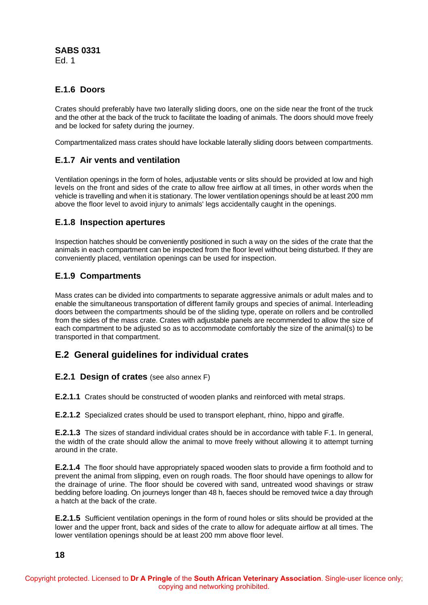Ed. 1

# **E.1.6 Doors**

Crates should preferably have two laterally sliding doors, one on the side near the front of the truck and the other at the back of the truck to facilitate the loading of animals. The doors should move freely and be locked for safety during the journey.

Compartmentalized mass crates should have lockable laterally sliding doors between compartments.

# **E.1.7 Air vents and ventilation**

Ventilation openings in the form of holes, adjustable vents or slits should be provided at low and high levels on the front and sides of the crate to allow free airflow at all times, in other words when the vehicle is travelling and when it is stationary. The lower ventilation openings should be at least 200 mm above the floor level to avoid injury to animals' legs accidentally caught in the openings.

# **E.1.8 Inspection apertures**

Inspection hatches should be conveniently positioned in such a way on the sides of the crate that the animals in each compartment can be inspected from the floor level without being disturbed. If they are conveniently placed, ventilation openings can be used for inspection.

# **E.1.9 Compartments**

Mass crates can be divided into compartments to separate aggressive animals or adult males and to enable the simultaneous transportation of different family groups and species of animal. Interleading doors between the compartments should be of the sliding type, operate on rollers and be controlled from the sides of the mass crate. Crates with adjustable panels are recommended to allow the size of each compartment to be adjusted so as to accommodate comfortably the size of the animal(s) to be transported in that compartment.

# **E.2 General guidelines for individual crates**

#### **E.2.1 Design of crates** (see also annex F)

**E.2.1.1** Crates should be constructed of wooden planks and reinforced with metal straps.

**E.2.1.2** Specialized crates should be used to transport elephant, rhino, hippo and giraffe.

**E.2.1.3** The sizes of standard individual crates should be in accordance with table F.1. In general, the width of the crate should allow the animal to move freely without allowing it to attempt turning around in the crate.

**E.2.1.4** The floor should have appropriately spaced wooden slats to provide a firm foothold and to prevent the animal from slipping, even on rough roads. The floor should have openings to allow for the drainage of urine. The floor should be covered with sand, untreated wood shavings or straw bedding before loading. On journeys longer than 48 h, faeces should be removed twice a day through a hatch at the back of the crate.

**E.2.1.5** Sufficient ventilation openings in the form of round holes or slits should be provided at the lower and the upper front, back and sides of the crate to allow for adequate airflow at all times. The lower ventilation openings should be at least 200 mm above floor level.

**18**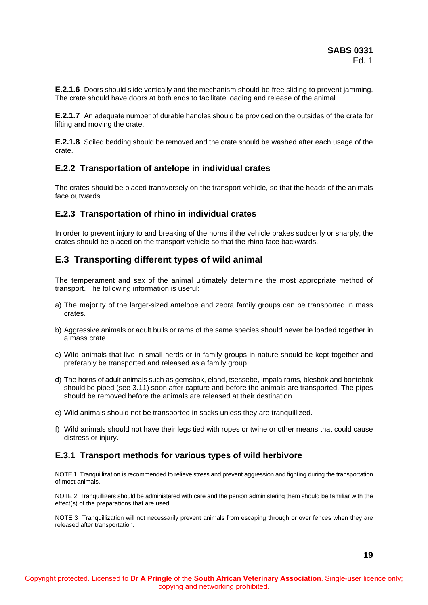**E.2.1.6** Doors should slide vertically and the mechanism should be free sliding to prevent jamming. The crate should have doors at both ends to facilitate loading and release of the animal.

**E.2.1.7** An adequate number of durable handles should be provided on the outsides of the crate for lifting and moving the crate.

**E.2.1.8** Soiled bedding should be removed and the crate should be washed after each usage of the crate.

#### **E.2.2 Transportation of antelope in individual crates**

The crates should be placed transversely on the transport vehicle, so that the heads of the animals face outwards.

#### **E.2.3 Transportation of rhino in individual crates**

In order to prevent injury to and breaking of the horns if the vehicle brakes suddenly or sharply, the crates should be placed on the transport vehicle so that the rhino face backwards.

### **E.3 Transporting different types of wild animal**

The temperament and sex of the animal ultimately determine the most appropriate method of transport. The following information is useful:

- a) The majority of the larger-sized antelope and zebra family groups can be transported in mass crates.
- b) Aggressive animals or adult bulls or rams of the same species should never be loaded together in a mass crate.
- c) Wild animals that live in small herds or in family groups in nature should be kept together and preferably be transported and released as a family group.
- d) The horns of adult animals such as gemsbok, eland, tsessebe, impala rams, blesbok and bontebok should be piped (see 3.11) soon after capture and before the animals are transported. The pipes should be removed before the animals are released at their destination.
- e) Wild animals should not be transported in sacks unless they are tranquillized.
- f) Wild animals should not have their legs tied with ropes or twine or other means that could cause distress or injury.

#### **E.3.1 Transport methods for various types of wild herbivore**

NOTE 1 Tranquillization is recommended to relieve stress and prevent aggression and fighting during the transportation of most animals.

NOTE 2 Tranquillizers should be administered with care and the person administering them should be familiar with the effect(s) of the preparations that are used.

NOTE 3 Tranquillization will not necessarily prevent animals from escaping through or over fences when they are released after transportation.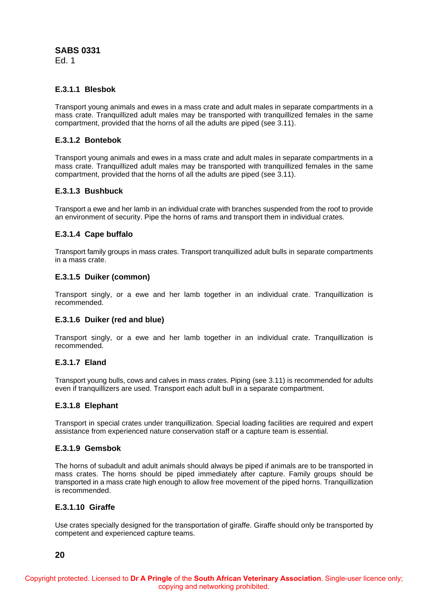Ed. 1

#### **E.3.1.1 Blesbok**

Transport young animals and ewes in a mass crate and adult males in separate compartments in a mass crate. Tranquillized adult males may be transported with tranquillized females in the same compartment, provided that the horns of all the adults are piped (see 3.11).

#### **E.3.1.2 Bontebok**

Transport young animals and ewes in a mass crate and adult males in separate compartments in a mass crate. Tranquillized adult males may be transported with tranquillized females in the same compartment, provided that the horns of all the adults are piped (see 3.11).

#### **E.3.1.3 Bushbuck**

Transport a ewe and her lamb in an individual crate with branches suspended from the roof to provide an environment of security. Pipe the horns of rams and transport them in individual crates.

#### **E.3.1.4 Cape buffalo**

Transport family groups in mass crates. Transport tranquillized adult bulls in separate compartments in a mass crate.

#### **E.3.1.5 Duiker (common)**

Transport singly, or a ewe and her lamb together in an individual crate. Tranquillization is recommended.

#### **E.3.1.6 Duiker (red and blue)**

Transport singly, or a ewe and her lamb together in an individual crate. Tranquillization is recommended.

#### **E.3.1.7 Eland**

Transport young bulls, cows and calves in mass crates. Piping (see 3.11) is recommended for adults even if tranquillizers are used. Transport each adult bull in a separate compartment.

#### **E.3.1.8 Elephant**

Transport in special crates under tranquillization. Special loading facilities are required and expert assistance from experienced nature conservation staff or a capture team is essential.

#### **E.3.1.9 Gemsbok**

The horns of subadult and adult animals should always be piped if animals are to be transported in mass crates. The horns should be piped immediately after capture. Family groups should be transported in a mass crate high enough to allow free movement of the piped horns. Tranquillization is recommended.

#### **E.3.1.10 Giraffe**

Use crates specially designed for the transportation of giraffe. Giraffe should only be transported by competent and experienced capture teams.

#### **20**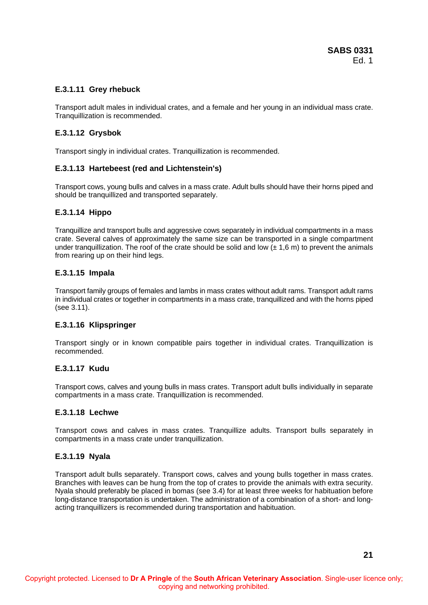#### **E.3.1.11 Grey rhebuck**

Transport adult males in individual crates, and a female and her young in an individual mass crate. Tranquillization is recommended.

#### **E.3.1.12 Grysbok**

Transport singly in individual crates. Tranquillization is recommended.

#### **E.3.1.13 Hartebeest (red and Lichtenstein's)**

Transport cows, young bulls and calves in a mass crate. Adult bulls should have their horns piped and should be tranquillized and transported separately.

#### **E.3.1.14 Hippo**

Tranquillize and transport bulls and aggressive cows separately in individual compartments in a mass crate. Several calves of approximately the same size can be transported in a single compartment under tranquillization. The roof of the crate should be solid and low  $(± 1,6$  m) to prevent the animals from rearing up on their hind legs.

#### **E.3.1.15 Impala**

Transport family groups of females and lambs in mass crates without adult rams. Transport adult rams in individual crates or together in compartments in a mass crate, tranquillized and with the horns piped (see 3.11).

#### **E.3.1.16 Klipspringer**

Transport singly or in known compatible pairs together in individual crates. Tranquillization is recommended.

#### **E.3.1.17 Kudu**

Transport cows, calves and young bulls in mass crates. Transport adult bulls individually in separate compartments in a mass crate. Tranquillization is recommended.

#### **E.3.1.18 Lechwe**

Transport cows and calves in mass crates. Tranquillize adults. Transport bulls separately in compartments in a mass crate under tranquillization.

#### **E.3.1.19 Nyala**

Transport adult bulls separately. Transport cows, calves and young bulls together in mass crates. Branches with leaves can be hung from the top of crates to provide the animals with extra security. Nyala should preferably be placed in bomas (see 3.4) for at least three weeks for habituation before long-distance transportation is undertaken. The administration of a combination of a short- and longacting tranquillizers is recommended during transportation and habituation.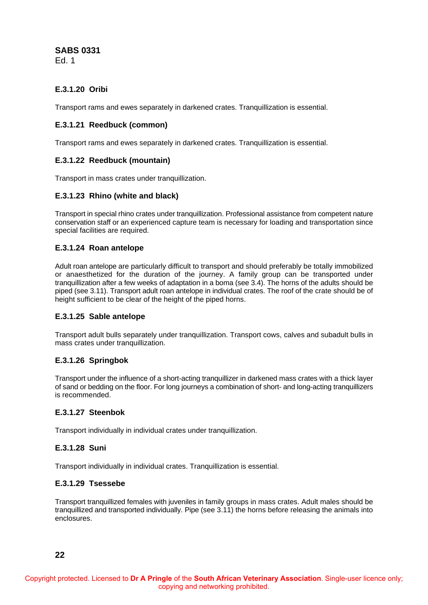Ed. 1

# **E.3.1.20 Oribi**

Transport rams and ewes separately in darkened crates. Tranquillization is essential.

### **E.3.1.21 Reedbuck (common)**

Transport rams and ewes separately in darkened crates. Tranquillization is essential.

### **E.3.1.22 Reedbuck (mountain)**

Transport in mass crates under tranquillization.

#### **E.3.1.23 Rhino (white and black)**

Transport in special rhino crates under tranquillization. Professional assistance from competent nature conservation staff or an experienced capture team is necessary for loading and transportation since special facilities are required.

### **E.3.1.24 Roan antelope**

Adult roan antelope are particularly difficult to transport and should preferably be totally immobilized or anaesthetized for the duration of the journey. A family group can be transported under tranquillization after a few weeks of adaptation in a boma (see 3.4). The horns of the adults should be piped (see 3.11). Transport adult roan antelope in individual crates. The roof of the crate should be of height sufficient to be clear of the height of the piped horns.

#### **E.3.1.25 Sable antelope**

Transport adult bulls separately under tranquillization. Transport cows, calves and subadult bulls in mass crates under tranquillization.

# **E.3.1.26 Springbok**

Transport under the influence of a short-acting tranquillizer in darkened mass crates with a thick layer of sand or bedding on the floor. For long journeys a combination of short- and long-acting tranquillizers is recommended.

#### **E.3.1.27 Steenbok**

Transport individually in individual crates under tranquillization.

#### **E.3.1.28 Suni**

Transport individually in individual crates. Tranquillization is essential.

#### **E.3.1.29 Tsessebe**

Transport tranquillized females with juveniles in family groups in mass crates. Adult males should be tranquillized and transported individually. Pipe (see 3.11) the horns before releasing the animals into enclosures.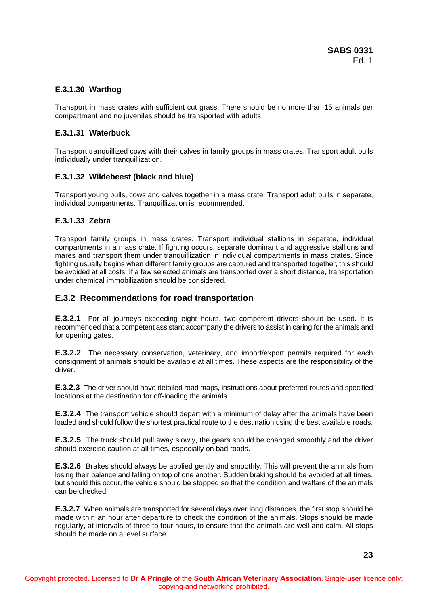### **E.3.1.30 Warthog**

Transport in mass crates with sufficient cut grass. There should be no more than 15 animals per compartment and no juveniles should be transported with adults.

### **E.3.1.31 Waterbuck**

Transport tranquillized cows with their calves in family groups in mass crates. Transport adult bulls individually under tranquillization.

#### **E.3.1.32 Wildebeest (black and blue)**

Transport young bulls, cows and calves together in a mass crate. Transport adult bulls in separate, individual compartments. Tranquillization is recommended.

#### **E.3.1.33 Zebra**

Transport family groups in mass crates. Transport individual stallions in separate, individual compartments in a mass crate. If fighting occurs, separate dominant and aggressive stallions and mares and transport them under tranquillization in individual compartments in mass crates. Since fighting usually begins when different family groups are captured and transported together, this should be avoided at all costs. If a few selected animals are transported over a short distance, transportation under chemical immobilization should be considered.

#### **E.3.2 Recommendations for road transportation**

**E.3.2.1** For all journeys exceeding eight hours, two competent drivers should be used. It is recommended that a competent assistant accompany the drivers to assist in caring for the animals and for opening gates.

**E.3.2.2** The necessary conservation, veterinary, and import/export permits required for each consignment of animals should be available at all times. These aspects are the responsibility of the driver.

**E.3.2.3** The driver should have detailed road maps, instructions about preferred routes and specified locations at the destination for off-loading the animals.

**E.3.2.4** The transport vehicle should depart with a minimum of delay after the animals have been loaded and should follow the shortest practical route to the destination using the best available roads.

**E.3.2.5** The truck should pull away slowly, the gears should be changed smoothly and the driver should exercise caution at all times, especially on bad roads.

**E.3.2.6** Brakes should always be applied gently and smoothly. This will prevent the animals from losing their balance and falling on top of one another. Sudden braking should be avoided at all times, but should this occur, the vehicle should be stopped so that the condition and welfare of the animals can be checked.

**E.3.2.7** When animals are transported for several days over long distances, the first stop should be made within an hour after departure to check the condition of the animals. Stops should be made regularly, at intervals of three to four hours, to ensure that the animals are well and calm. All stops should be made on a level surface.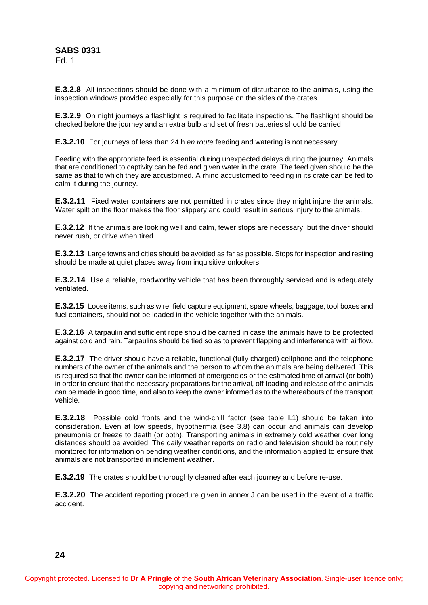**E.3.2.8** All inspections should be done with a minimum of disturbance to the animals, using the inspection windows provided especially for this purpose on the sides of the crates.

**E.3.2.9** On night journeys a flashlight is required to facilitate inspections. The flashlight should be checked before the journey and an extra bulb and set of fresh batteries should be carried.

**E.3.2.10** For journeys of less than 24 h *en route* feeding and watering is not necessary.

Feeding with the appropriate feed is essential during unexpected delays during the journey. Animals that are conditioned to captivity can be fed and given water in the crate. The feed given should be the same as that to which they are accustomed. A rhino accustomed to feeding in its crate can be fed to calm it during the journey.

**E.3.2.11** Fixed water containers are not permitted in crates since they might injure the animals. Water spilt on the floor makes the floor slippery and could result in serious injury to the animals.

**E.3.2.12** If the animals are looking well and calm, fewer stops are necessary, but the driver should never rush, or drive when tired.

**E.3.2.13** Large towns and cities should be avoided as far as possible. Stops for inspection and resting should be made at quiet places away from inquisitive onlookers.

**E.3.2.14** Use a reliable, roadworthy vehicle that has been thoroughly serviced and is adequately ventilated.

**E.3.2.15** Loose items, such as wire, field capture equipment, spare wheels, baggage, tool boxes and fuel containers, should not be loaded in the vehicle together with the animals.

**E.3.2.16** A tarpaulin and sufficient rope should be carried in case the animals have to be protected against cold and rain. Tarpaulins should be tied so as to prevent flapping and interference with airflow.

**E.3.2.17** The driver should have a reliable, functional (fully charged) cellphone and the telephone numbers of the owner of the animals and the person to whom the animals are being delivered. This is required so that the owner can be informed of emergencies or the estimated time of arrival (or both) in order to ensure that the necessary preparations for the arrival, off-loading and release of the animals can be made in good time, and also to keep the owner informed as to the whereabouts of the transport vehicle.

**E.3.2.18** Possible cold fronts and the wind-chill factor (see table I.1) should be taken into consideration. Even at low speeds, hypothermia (see 3.8) can occur and animals can develop pneumonia or freeze to death (or both). Transporting animals in extremely cold weather over long distances should be avoided. The daily weather reports on radio and television should be routinely monitored for information on pending weather conditions, and the information applied to ensure that animals are not transported in inclement weather.

**E.3.2.19** The crates should be thoroughly cleaned after each journey and before re-use.

**E.3.2.20** The accident reporting procedure given in annex J can be used in the event of a traffic accident.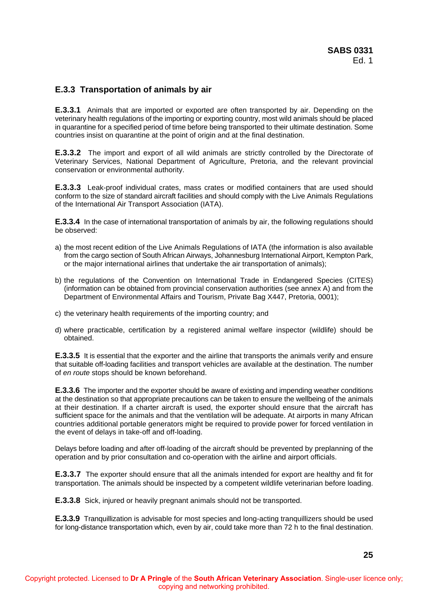### **E.3.3 Transportation of animals by air**

**E.3.3.1** Animals that are imported or exported are often transported by air. Depending on the veterinary health regulations of the importing or exporting country, most wild animals should be placed in quarantine for a specified period of time before being transported to their ultimate destination. Some countries insist on quarantine at the point of origin and at the final destination.

**E.3.3.2** The import and export of all wild animals are strictly controlled by the Directorate of Veterinary Services, National Department of Agriculture, Pretoria, and the relevant provincial conservation or environmental authority.

**E.3.3.3** Leak-proof individual crates, mass crates or modified containers that are used should conform to the size of standard aircraft facilities and should comply with the Live Animals Regulations of the International Air Transport Association (IATA).

**E.3.3.4** In the case of international transportation of animals by air, the following regulations should be observed:

- a) the most recent edition of the Live Animals Regulations of IATA (the information is also available from the cargo section of South African Airways, Johannesburg International Airport, Kempton Park, or the major international airlines that undertake the air transportation of animals);
- b) the regulations of the Convention on International Trade in Endangered Species (CITES) (information can be obtained from provincial conservation authorities (see annex A) and from the Department of Environmental Affairs and Tourism, Private Bag X447, Pretoria, 0001);
- c) the veterinary health requirements of the importing country; and
- d) where practicable, certification by a registered animal welfare inspector (wildlife) should be obtained.

**E.3.3.5** It is essential that the exporter and the airline that transports the animals verify and ensure that suitable off-loading facilities and transport vehicles are available at the destination. The number of *en route* stops should be known beforehand.

**E.3.3.6** The importer and the exporter should be aware of existing and impending weather conditions at the destination so that appropriate precautions can be taken to ensure the wellbeing of the animals at their destination. If a charter aircraft is used, the exporter should ensure that the aircraft has sufficient space for the animals and that the ventilation will be adequate. At airports in many African countries additional portable generators might be required to provide power for forced ventilation in the event of delays in take-off and off-loading.

Delays before loading and after off-loading of the aircraft should be prevented by preplanning of the operation and by prior consultation and co-operation with the airline and airport officials.

**E.3.3.7** The exporter should ensure that all the animals intended for export are healthy and fit for transportation. The animals should be inspected by a competent wildlife veterinarian before loading.

**E.3.3.8** Sick, injured or heavily pregnant animals should not be transported.

**E.3.3.9** Tranquillization is advisable for most species and long-acting tranquillizers should be used for long-distance transportation which, even by air, could take more than 72 h to the final destination.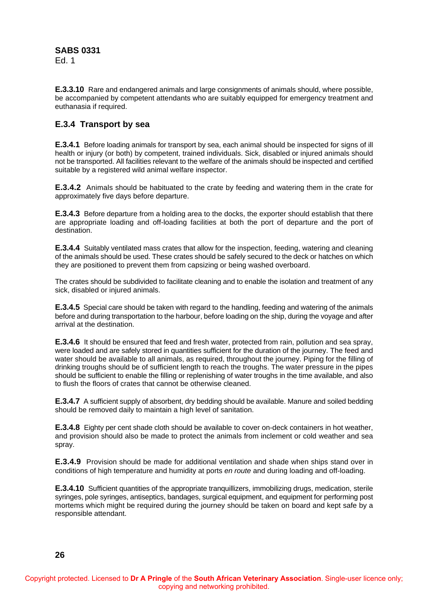**E.3.3.10** Rare and endangered animals and large consignments of animals should, where possible, be accompanied by competent attendants who are suitably equipped for emergency treatment and euthanasia if required.

# **E.3.4 Transport by sea**

**E.3.4.1** Before loading animals for transport by sea, each animal should be inspected for signs of ill health or injury (or both) by competent, trained individuals. Sick, disabled or injured animals should not be transported. All facilities relevant to the welfare of the animals should be inspected and certified suitable by a registered wild animal welfare inspector.

**E.3.4.2** Animals should be habituated to the crate by feeding and watering them in the crate for approximately five days before departure.

**E.3.4.3** Before departure from a holding area to the docks, the exporter should establish that there are appropriate loading and off-loading facilities at both the port of departure and the port of destination.

**E.3.4.4** Suitably ventilated mass crates that allow for the inspection, feeding, watering and cleaning of the animals should be used. These crates should be safely secured to the deck or hatches on which they are positioned to prevent them from capsizing or being washed overboard.

The crates should be subdivided to facilitate cleaning and to enable the isolation and treatment of any sick, disabled or injured animals.

**E.3.4.5** Special care should be taken with regard to the handling, feeding and watering of the animals before and during transportation to the harbour, before loading on the ship, during the voyage and after arrival at the destination.

**E.3.4.6** It should be ensured that feed and fresh water, protected from rain, pollution and sea spray, were loaded and are safely stored in quantities sufficient for the duration of the journey. The feed and water should be available to all animals, as required, throughout the journey. Piping for the filling of drinking troughs should be of sufficient length to reach the troughs. The water pressure in the pipes should be sufficient to enable the filling or replenishing of water troughs in the time available, and also to flush the floors of crates that cannot be otherwise cleaned.

**E.3.4.7** A sufficient supply of absorbent, dry bedding should be available. Manure and soiled bedding should be removed daily to maintain a high level of sanitation.

**E.3.4.8** Eighty per cent shade cloth should be available to cover on-deck containers in hot weather, and provision should also be made to protect the animals from inclement or cold weather and sea spray.

**E.3.4.9** Provision should be made for additional ventilation and shade when ships stand over in conditions of high temperature and humidity at ports *en route* and during loading and off-loading.

**E.3.4.10** Sufficient quantities of the appropriate tranquillizers, immobilizing drugs, medication, sterile syringes, pole syringes, antiseptics, bandages, surgical equipment, and equipment for performing post mortems which might be required during the journey should be taken on board and kept safe by a responsible attendant.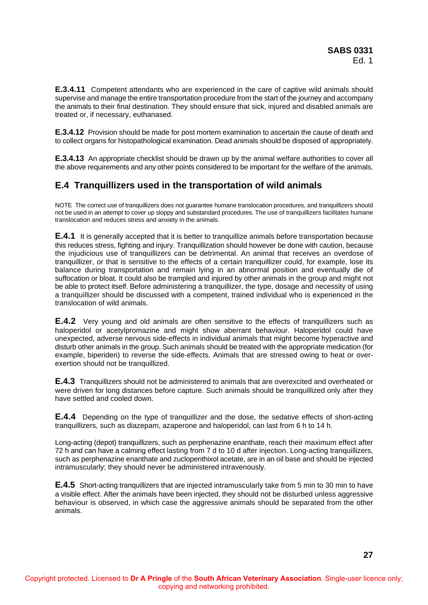**E.3.4.11** Competent attendants who are experienced in the care of captive wild animals should supervise and manage the entire transportation procedure from the start of the journey and accompany the animals to their final destination. They should ensure that sick, injured and disabled animals are treated or, if necessary, euthanased.

**E.3.4.12** Provision should be made for post mortem examination to ascertain the cause of death and to collect organs for histopathological examination. Dead animals should be disposed of appropriately.

**E.3.4.13** An appropriate checklist should be drawn up by the animal welfare authorities to cover all the above requirements and any other points considered to be important for the welfare of the animals.

# **E.4 Tranquillizers used in the transportation of wild animals**

NOTE The correct use of tranquillizers does not guarantee humane translocation procedures, and tranquillizers should not be used in an attempt to cover up sloppy and substandard procedures. The use of tranquillizers facilitates humane translocation and reduces stress and anxiety in the animals.

**E.4.1** It is generally accepted that it is better to tranquillize animals before transportation because this reduces stress, fighting and injury. Tranquillization should however be done with caution, because the injudicious use of tranquillizers can be detrimental. An animal that receives an overdose of tranquillizer, or that is sensitive to the effects of a certain tranquillizer could, for example, lose its balance during transportation and remain lying in an abnormal position and eventually die of suffocation or bloat. It could also be trampled and injured by other animals in the group and might not be able to protect itself. Before administering a tranquillizer, the type, dosage and necessity of using a tranquillizer should be discussed with a competent, trained individual who is experienced in the translocation of wild animals.

**E.4.2** Very young and old animals are often sensitive to the effects of tranquillizers such as haloperidol or acetylpromazine and might show aberrant behaviour. Haloperidol could have unexpected, adverse nervous side-effects in individual animals that might become hyperactive and disturb other animals in the group. Such animals should be treated with the appropriate medication (for example, biperiden) to reverse the side-effects. Animals that are stressed owing to heat or overexertion should not be tranquillized.

**E.4.3** Tranquillizers should not be administered to animals that are overexcited and overheated or were driven for long distances before capture. Such animals should be tranquillized only after they have settled and cooled down.

**E.4.4** Depending on the type of tranquillizer and the dose, the sedative effects of short-acting tranquillizers, such as diazepam, azaperone and haloperidol, can last from 6 h to 14 h.

Long-acting (depot) tranquillizers, such as perphenazine enanthate, reach their maximum effect after 72 h and can have a calming effect lasting from 7 d to 10 d after injection. Long-acting tranquillizers, such as perphenazine enanthate and zuclopenthixol acetate, are in an oil base and should be injected intramuscularly; they should never be administered intravenously.

**E.4.5** Short-acting tranquillizers that are injected intramuscularly take from 5 min to 30 min to have a visible effect. After the animals have been injected, they should not be disturbed unless aggressive behaviour is observed, in which case the aggressive animals should be separated from the other animals.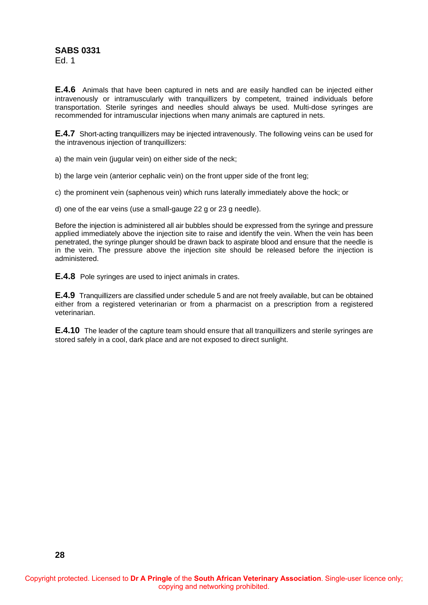Ed. 1

**E.4.6** Animals that have been captured in nets and are easily handled can be injected either intravenously or intramuscularly with tranquillizers by competent, trained individuals before transportation. Sterile syringes and needles should always be used. Multi-dose syringes are recommended for intramuscular injections when many animals are captured in nets.

**E.4.7** Short-acting tranquillizers may be injected intravenously. The following veins can be used for the intravenous injection of tranquillizers:

a) the main vein (jugular vein) on either side of the neck;

- b) the large vein (anterior cephalic vein) on the front upper side of the front leg;
- c) the prominent vein (saphenous vein) which runs laterally immediately above the hock; or

d) one of the ear veins (use a small-gauge 22 g or 23 g needle).

Before the injection is administered all air bubbles should be expressed from the syringe and pressure applied immediately above the injection site to raise and identify the vein. When the vein has been penetrated, the syringe plunger should be drawn back to aspirate blood and ensure that the needle is in the vein. The pressure above the injection site should be released before the injection is administered.

**E.4.8** Pole syringes are used to inject animals in crates.

**E.4.9** Tranquillizers are classified under schedule 5 and are not freely available, but can be obtained either from a registered veterinarian or from a pharmacist on a prescription from a registered veterinarian.

**E.4.10** The leader of the capture team should ensure that all tranquillizers and sterile syringes are stored safely in a cool, dark place and are not exposed to direct sunlight.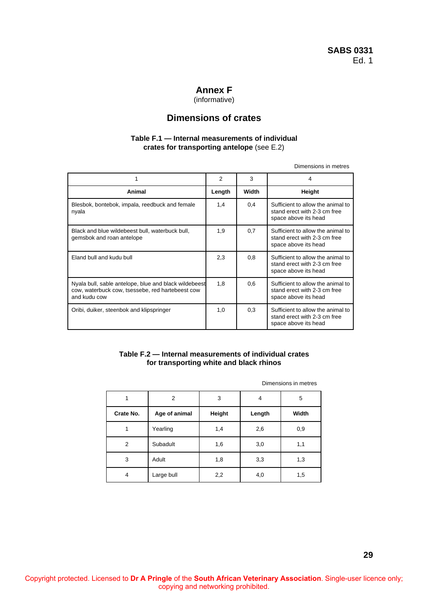#### **Annex F**

(informative)

# **Dimensions of crates**

#### **Table F.1 — Internal measurements of individual crates for transporting antelope** (see E.2)

Dimensions in metres

|                                                                                                                           | 2      | 3     | 4                                                                                         |  |  |
|---------------------------------------------------------------------------------------------------------------------------|--------|-------|-------------------------------------------------------------------------------------------|--|--|
| Animal                                                                                                                    | Length | Width | Height                                                                                    |  |  |
| Blesbok, bontebok, impala, reedbuck and female<br>nyala                                                                   | 1,4    | 0.4   | Sufficient to allow the animal to<br>stand erect with 2-3 cm free<br>space above its head |  |  |
| Black and blue wildebeest bull, waterbuck bull,<br>gemsbok and roan antelope                                              | 1,9    | 0,7   | Sufficient to allow the animal to<br>stand erect with 2-3 cm free<br>space above its head |  |  |
| Eland bull and kudu bull                                                                                                  | 2,3    | 0,8   | Sufficient to allow the animal to<br>stand erect with 2-3 cm free<br>space above its head |  |  |
| Nyala bull, sable antelope, blue and black wildebeest<br>cow, waterbuck cow, tsessebe, red hartebeest cow<br>and kudu cow | 1.8    | 0,6   | Sufficient to allow the animal to<br>stand erect with 2-3 cm free<br>space above its head |  |  |
| Oribi, duiker, steenbok and klipspringer                                                                                  | 1,0    | 0,3   | Sufficient to allow the animal to<br>stand erect with 2-3 cm free<br>space above its head |  |  |

#### **Table F.2 — Internal measurements of individual crates for transporting white and black rhinos**

Dimensions in metres

|                | 2             | 3      | 4      | 5     |
|----------------|---------------|--------|--------|-------|
| Crate No.      | Age of animal | Height | Length | Width |
| 1              | Yearling      | 1,4    | 2,6    | 0,9   |
| $\overline{2}$ | Subadult      | 1,6    | 3,0    | 1,1   |
| 3              | Adult         | 1,8    | 3,3    | 1,3   |
| 4              | Large bull    | 2,2    | 4,0    | 1,5   |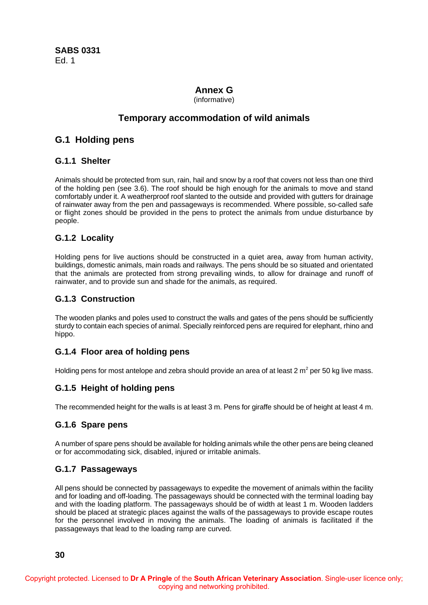### **Annex G**

(informative)

# **Temporary accommodation of wild animals**

# **G.1 Holding pens**

### **G.1.1 Shelter**

Animals should be protected from sun, rain, hail and snow by a roof that covers not less than one third of the holding pen (see 3.6). The roof should be high enough for the animals to move and stand comfortably under it. A weatherproof roof slanted to the outside and provided with gutters for drainage of rainwater away from the pen and passageways is recommended. Where possible, so-called safe or flight zones should be provided in the pens to protect the animals from undue disturbance by people.

### **G.1.2 Locality**

Holding pens for live auctions should be constructed in a quiet area, away from human activity, buildings, domestic animals, main roads and railways. The pens should be so situated and orientated that the animals are protected from strong prevailing winds, to allow for drainage and runoff of rainwater, and to provide sun and shade for the animals, as required.

### **G.1.3 Construction**

The wooden planks and poles used to construct the walls and gates of the pens should be sufficiently sturdy to contain each species of animal. Specially reinforced pens are required for elephant, rhino and hippo.

# **G.1.4 Floor area of holding pens**

Holding pens for most antelope and zebra should provide an area of at least 2 m<sup>2</sup> per 50 kg live mass.

#### **G.1.5 Height of holding pens**

The recommended height for the walls is at least 3 m. Pens for giraffe should be of height at least 4 m.

#### **G.1.6 Spare pens**

A number of spare pens should be available for holding animals while the other pens are being cleaned or for accommodating sick, disabled, injured or irritable animals.

# **G.1.7 Passageways**

All pens should be connected by passageways to expedite the movement of animals within the facility and for loading and off-loading. The passageways should be connected with the terminal loading bay and with the loading platform. The passageways should be of width at least 1 m. Wooden ladders should be placed at strategic places against the walls of the passageways to provide escape routes for the personnel involved in moving the animals. The loading of animals is facilitated if the passageways that lead to the loading ramp are curved.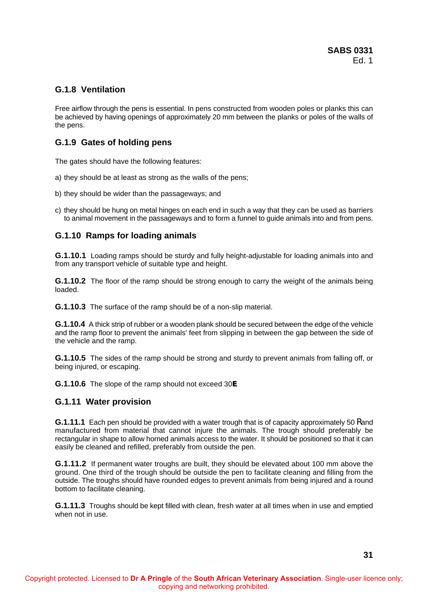### **G.1.8 Ventilation**

Free airflow through the pens is essential. In pens constructed from wooden poles or planks this can be achieved by having openings of approximately 20 mm between the planks or poles of the walls of the pens.

### **G.1.9 Gates of holding pens**

The gates should have the following features:

- a) they should be at least as strong as the walls of the pens;
- b) they should be wider than the passageways; and
- c) they should be hung on metal hinges on each end in such a way that they can be used as barriers to animal movement in the passageways and to form a funnel to guide animals into and from pens.

### **G.1.10 Ramps for loading animals**

**G.1.10.1** Loading ramps should be sturdy and fully height-adjustable for loading animals into and from any transport vehicle of suitable type and height.

**G.1.10.2** The floor of the ramp should be strong enough to carry the weight of the animals being loaded.

**G.1.10.3** The surface of the ramp should be of a non-slip material.

**G.1.10.4** A thick strip of rubber or a wooden plank should be secured between the edge of the vehicle and the ramp floor to prevent the animals' feet from slipping in between the gap between the side of the vehicle and the ramp.

**G.1.10.5** The sides of the ramp should be strong and sturdy to prevent animals from falling off, or being injured, or escaping.

**G.1.10.6** The slope of the ramp should not exceed 30**E**.

#### **G.1.11 Water provision**

**G.1.11.1** Each pen should be provided with a water trough that is of capacity approximately 50 R and manufactured from material that cannot injure the animals. The trough should preferably be rectangular in shape to allow horned animals access to the water. It should be positioned so that it can easily be cleaned and refilled, preferably from outside the pen.

**G.1.11.2** If permanent water troughs are built, they should be elevated about 100 mm above the ground. One third of the trough should be outside the pen to facilitate cleaning and filling from the outside. The troughs should have rounded edges to prevent animals from being injured and a round bottom to facilitate cleaning.

**G.1.11.3** Troughs should be kept filled with clean, fresh water at all times when in use and emptied when not in use.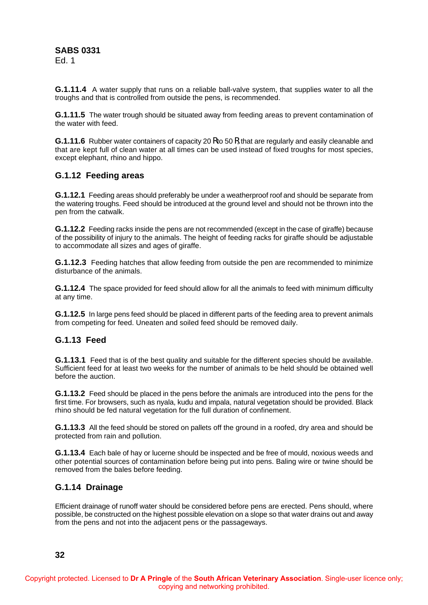**G.1.11.4** A water supply that runs on a reliable ball-valve system, that supplies water to all the troughs and that is controlled from outside the pens, is recommended.

**G.1.11.5** The water trough should be situated away from feeding areas to prevent contamination of the water with feed.

**G.1.11.6** Rubber water containers of capacity 20 R to 50 R, that are regularly and easily cleanable and that are kept full of clean water at all times can be used instead of fixed troughs for most species, except elephant, rhino and hippo.

#### **G.1.12 Feeding areas**

**G.1.12.1** Feeding areas should preferably be under a weatherproof roof and should be separate from the watering troughs. Feed should be introduced at the ground level and should not be thrown into the pen from the catwalk.

**G.1.12.2** Feeding racks inside the pens are not recommended (except in the case of giraffe) because of the possibility of injury to the animals. The height of feeding racks for giraffe should be adjustable to accommodate all sizes and ages of giraffe.

**G.1.12.3** Feeding hatches that allow feeding from outside the pen are recommended to minimize disturbance of the animals.

**G.1.12.4** The space provided for feed should allow for all the animals to feed with minimum difficulty at any time.

**G.1.12.5** In large pens feed should be placed in different parts of the feeding area to prevent animals from competing for feed. Uneaten and soiled feed should be removed daily.

#### **G.1.13 Feed**

**G.1.13.1** Feed that is of the best quality and suitable for the different species should be available. Sufficient feed for at least two weeks for the number of animals to be held should be obtained well before the auction.

**G.1.13.2** Feed should be placed in the pens before the animals are introduced into the pens for the first time. For browsers, such as nyala, kudu and impala, natural vegetation should be provided. Black rhino should be fed natural vegetation for the full duration of confinement.

**G.1.13.3** All the feed should be stored on pallets off the ground in a roofed, dry area and should be protected from rain and pollution.

**G.1.13.4** Each bale of hay or lucerne should be inspected and be free of mould, noxious weeds and other potential sources of contamination before being put into pens. Baling wire or twine should be removed from the bales before feeding.

#### **G.1.14 Drainage**

Efficient drainage of runoff water should be considered before pens are erected. Pens should, where possible, be constructed on the highest possible elevation on a slope so that water drains out and away from the pens and not into the adjacent pens or the passageways.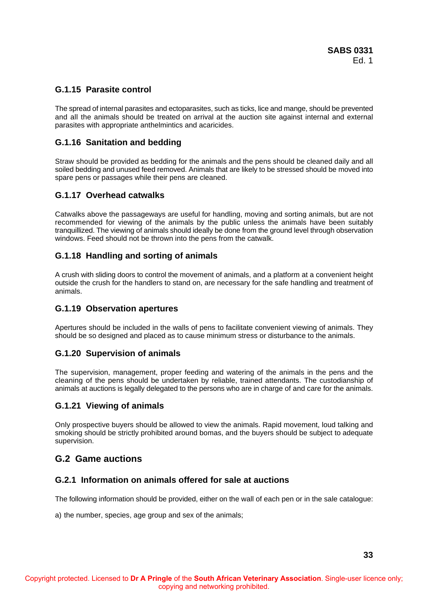### **G.1.15 Parasite control**

The spread of internal parasites and ectoparasites, such as ticks, lice and mange, should be prevented and all the animals should be treated on arrival at the auction site against internal and external parasites with appropriate anthelmintics and acaricides.

### **G.1.16 Sanitation and bedding**

Straw should be provided as bedding for the animals and the pens should be cleaned daily and all soiled bedding and unused feed removed. Animals that are likely to be stressed should be moved into spare pens or passages while their pens are cleaned.

### **G.1.17 Overhead catwalks**

Catwalks above the passageways are useful for handling, moving and sorting animals, but are not recommended for viewing of the animals by the public unless the animals have been suitably tranquillized. The viewing of animals should ideally be done from the ground level through observation windows. Feed should not be thrown into the pens from the catwalk.

### **G.1.18 Handling and sorting of animals**

A crush with sliding doors to control the movement of animals, and a platform at a convenient height outside the crush for the handlers to stand on, are necessary for the safe handling and treatment of animals.

#### **G.1.19 Observation apertures**

Apertures should be included in the walls of pens to facilitate convenient viewing of animals. They should be so designed and placed as to cause minimum stress or disturbance to the animals.

#### **G.1.20 Supervision of animals**

The supervision, management, proper feeding and watering of the animals in the pens and the cleaning of the pens should be undertaken by reliable, trained attendants. The custodianship of animals at auctions is legally delegated to the persons who are in charge of and care for the animals.

#### **G.1.21 Viewing of animals**

Only prospective buyers should be allowed to view the animals. Rapid movement, loud talking and smoking should be strictly prohibited around bomas, and the buyers should be subject to adequate supervision.

# **G.2 Game auctions**

#### **G.2.1 Information on animals offered for sale at auctions**

The following information should be provided, either on the wall of each pen or in the sale catalogue:

a) the number, species, age group and sex of the animals;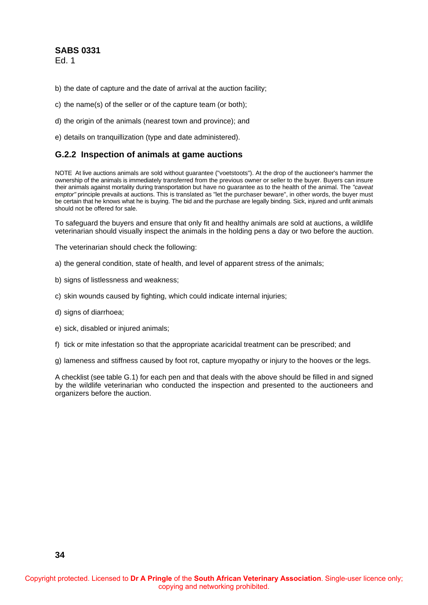Ed. 1

- b) the date of capture and the date of arrival at the auction facility;
- c) the name(s) of the seller or of the capture team (or both);
- d) the origin of the animals (nearest town and province); and
- e) details on tranquillization (type and date administered).

# **G.2.2 Inspection of animals at game auctions**

NOTE At live auctions animals are sold without guarantee ("voetstoots"). At the drop of the auctioneer's hammer the ownership of the animals is immediately transferred from the previous owner or seller to the buyer. Buyers can insure their animals against mortality during transportation but have no guarantee as to the health of the animal. The *"caveat emptor"* principle prevails at auctions. This is translated as "let the purchaser beware", in other words, the buyer must be certain that he knows what he is buying. The bid and the purchase are legally binding. Sick, injured and unfit animals should not be offered for sale.

To safeguard the buyers and ensure that only fit and healthy animals are sold at auctions, a wildlife veterinarian should visually inspect the animals in the holding pens a day or two before the auction.

The veterinarian should check the following:

- a) the general condition, state of health, and level of apparent stress of the animals;
- b) signs of listlessness and weakness;
- c) skin wounds caused by fighting, which could indicate internal injuries;
- d) signs of diarrhoea:
- e) sick, disabled or injured animals;
- f) tick or mite infestation so that the appropriate acaricidal treatment can be prescribed; and
- g) lameness and stiffness caused by foot rot, capture myopathy or injury to the hooves or the legs.

A checklist (see table G.1) for each pen and that deals with the above should be filled in and signed by the wildlife veterinarian who conducted the inspection and presented to the auctioneers and organizers before the auction.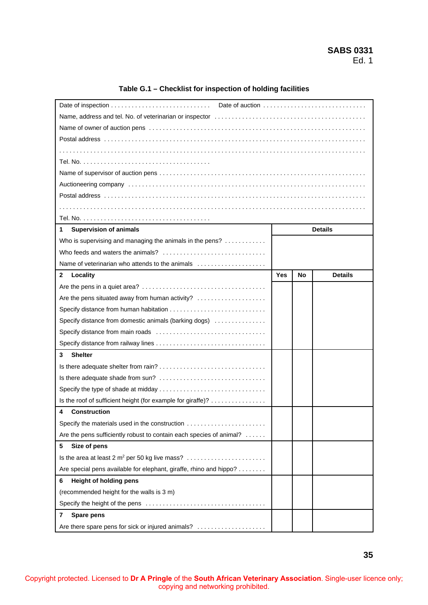| 1<br><b>Supervision of animals</b>                                  |            |    | <b>Details</b> |  |
|---------------------------------------------------------------------|------------|----|----------------|--|
| Who is supervising and managing the animals in the pens?            |            |    |                |  |
|                                                                     |            |    |                |  |
| Name of veterinarian who attends to the animals                     |            |    |                |  |
| $\mathbf{2}$<br>Locality                                            | <b>Yes</b> | No | <b>Details</b> |  |
|                                                                     |            |    |                |  |
| Are the pens situated away from human activity?                     |            |    |                |  |
|                                                                     |            |    |                |  |
| Specify distance from domestic animals (barking dogs)               |            |    |                |  |
|                                                                     |            |    |                |  |
|                                                                     |            |    |                |  |
| <b>Shelter</b><br>3                                                 |            |    |                |  |
|                                                                     |            |    |                |  |
|                                                                     |            |    |                |  |
|                                                                     |            |    |                |  |
| Is the roof of sufficient height (for example for giraffe)?         |            |    |                |  |
| <b>Construction</b><br>4                                            |            |    |                |  |
| Specify the materials used in the construction                      |            |    |                |  |
| Are the pens sufficiently robust to contain each species of animal? |            |    |                |  |
| 5<br>Size of pens                                                   |            |    |                |  |
| Is the area at least 2 $m^2$ per 50 kg live mass?                   |            |    |                |  |
| Are special pens available for elephant, giraffe, rhino and hippo?  |            |    |                |  |
| <b>Height of holding pens</b><br>6                                  |            |    |                |  |
| (recommended height for the walls is 3 m)                           |            |    |                |  |
|                                                                     |            |    |                |  |
| 7<br>Spare pens                                                     |            |    |                |  |
| Are there spare pens for sick or injured animals?                   |            |    |                |  |

# **Table G.1 – Checklist for inspection of holding facilities**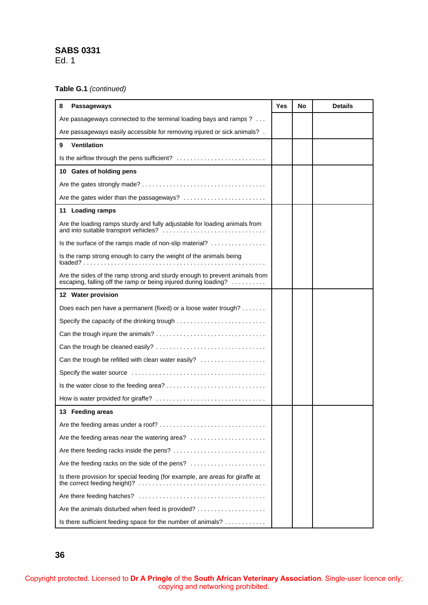Ed. 1

# **Table G.1** *(continued)*

| 8<br>Passageways                                                                                                                              | Yes | No | <b>Details</b> |
|-----------------------------------------------------------------------------------------------------------------------------------------------|-----|----|----------------|
| Are passageways connected to the terminal loading bays and ramps ?                                                                            |     |    |                |
| Are passageways easily accessible for removing injured or sick animals? .                                                                     |     |    |                |
| <b>Ventilation</b><br>9                                                                                                                       |     |    |                |
| Is the airflow through the pens sufficient?                                                                                                   |     |    |                |
| 10 Gates of holding pens                                                                                                                      |     |    |                |
|                                                                                                                                               |     |    |                |
| Are the gates wider than the passageways?                                                                                                     |     |    |                |
| 11 Loading ramps                                                                                                                              |     |    |                |
| Are the loading ramps sturdy and fully adjustable for loading animals from                                                                    |     |    |                |
| Is the surface of the ramps made of non-slip material?                                                                                        |     |    |                |
| Is the ramp strong enough to carry the weight of the animals being                                                                            |     |    |                |
| Are the sides of the ramp strong and sturdy enough to prevent animals from<br>escaping, falling off the ramp or being injured during loading? |     |    |                |
| 12 Water provision                                                                                                                            |     |    |                |
| Does each pen have a permanent (fixed) or a loose water trough?                                                                               |     |    |                |
| Specify the capacity of the drinking trough                                                                                                   |     |    |                |
|                                                                                                                                               |     |    |                |
|                                                                                                                                               |     |    |                |
| Can the trough be refilled with clean water easily?                                                                                           |     |    |                |
|                                                                                                                                               |     |    |                |
|                                                                                                                                               |     |    |                |
|                                                                                                                                               |     |    |                |
| 13 Feeding areas                                                                                                                              |     |    |                |
|                                                                                                                                               |     |    |                |
|                                                                                                                                               |     |    |                |
|                                                                                                                                               |     |    |                |
|                                                                                                                                               |     |    |                |
| Is there provision for special feeding (for example, are areas for giraffe at                                                                 |     |    |                |
|                                                                                                                                               |     |    |                |
| Are the animals disturbed when feed is provided?                                                                                              |     |    |                |
| Is there sufficient feeding space for the number of animals?                                                                                  |     |    |                |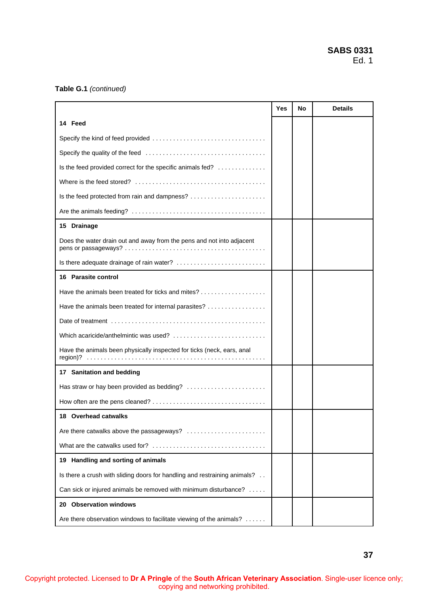# **Table G.1** *(continued)*

|                                                                                                                                       | Yes | No | <b>Details</b> |
|---------------------------------------------------------------------------------------------------------------------------------------|-----|----|----------------|
| 14 Feed                                                                                                                               |     |    |                |
|                                                                                                                                       |     |    |                |
|                                                                                                                                       |     |    |                |
| Is the feed provided correct for the specific animals fed?                                                                            |     |    |                |
| Where is the feed stored? $\ldots$ , $\ldots$ , $\ldots$ , $\ldots$ , $\ldots$ , $\ldots$ , $\ldots$ , $\ldots$ , $\ldots$ , $\ldots$ |     |    |                |
| Is the feed protected from rain and dampness?                                                                                         |     |    |                |
|                                                                                                                                       |     |    |                |
| 15 Drainage                                                                                                                           |     |    |                |
| Does the water drain out and away from the pens and not into adjacent                                                                 |     |    |                |
|                                                                                                                                       |     |    |                |
| 16 Parasite control                                                                                                                   |     |    |                |
| Have the animals been treated for ticks and mites? $\dots$ , , , ,                                                                    |     |    |                |
| Have the animals been treated for internal parasites?                                                                                 |     |    |                |
|                                                                                                                                       |     |    |                |
| Which acaricide/anthelmintic was used? $\ldots$ , $\ldots$ , $\ldots$ , $\ldots$ , $\ldots$ , $\ldots$                                |     |    |                |
| Have the animals been physically inspected for ticks (neck, ears, anal                                                                |     |    |                |
| 17 Sanitation and bedding                                                                                                             |     |    |                |
| Has straw or hay been provided as bedding?                                                                                            |     |    |                |
|                                                                                                                                       |     |    |                |
| 18 Overhead catwalks                                                                                                                  |     |    |                |
| Are there catwalks above the passageways?                                                                                             |     |    |                |
|                                                                                                                                       |     |    |                |
| 19 Handling and sorting of animals                                                                                                    |     |    |                |
| Is there a crush with sliding doors for handling and restraining animals?                                                             |     |    |                |
| Can sick or injured animals be removed with minimum disturbance?                                                                      |     |    |                |
| 20 Observation windows                                                                                                                |     |    |                |
| Are there observation windows to facilitate viewing of the animals?                                                                   |     |    |                |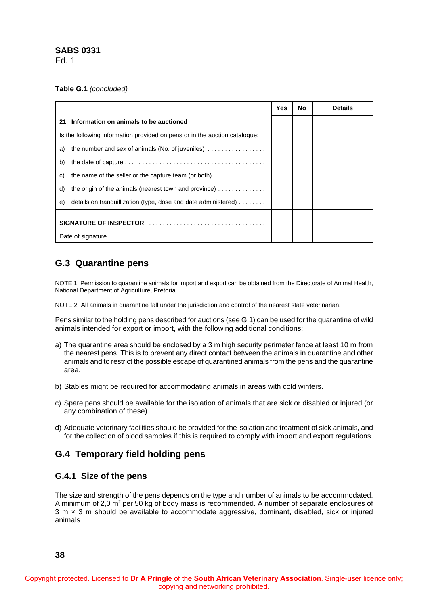Ed. 1

#### **Table G.1** *(concluded)*

|                                                                                        | Yes | No | <b>Details</b> |
|----------------------------------------------------------------------------------------|-----|----|----------------|
| Information on animals to be auctioned<br>21                                           |     |    |                |
| Is the following information provided on pens or in the auction catalogue:             |     |    |                |
| the number and sex of animals (No. of juveniles) $\dots\dots\dots\dots\dots$<br>a)     |     |    |                |
| b)                                                                                     |     |    |                |
| the name of the seller or the capture team (or both) $\dots\dots\dots\dots\dots$<br>C) |     |    |                |
| the origin of the animals (nearest town and province) $\dots\dots\dots\dots$<br>d)     |     |    |                |
| details on tranguillization (type, dose and date administered) $\dots\dots\dots$<br>e) |     |    |                |
|                                                                                        |     |    |                |
|                                                                                        |     |    |                |

# **G.3 Quarantine pens**

NOTE 1 Permission to quarantine animals for import and export can be obtained from the Directorate of Animal Health, National Department of Agriculture, Pretoria.

NOTE 2 All animals in quarantine fall under the jurisdiction and control of the nearest state veterinarian.

Pens similar to the holding pens described for auctions (see G.1) can be used for the quarantine of wild animals intended for export or import, with the following additional conditions:

- a) The quarantine area should be enclosed by a 3 m high security perimeter fence at least 10 m from the nearest pens. This is to prevent any direct contact between the animals in quarantine and other animals and to restrict the possible escape of quarantined animals from the pens and the quarantine area.
- b) Stables might be required for accommodating animals in areas with cold winters.
- c) Spare pens should be available for the isolation of animals that are sick or disabled or injured (or any combination of these).
- d) Adequate veterinary facilities should be provided for the isolation and treatment of sick animals, and for the collection of blood samples if this is required to comply with import and export regulations.

# **G.4 Temporary field holding pens**

# **G.4.1 Size of the pens**

The size and strength of the pens depends on the type and number of animals to be accommodated. A minimum of 2,0  $\text{m}^2$  per 50 kg of body mass is recommended. A number of separate enclosures of 3 m × 3 m should be available to accommodate aggressive, dominant, disabled, sick or injured animals.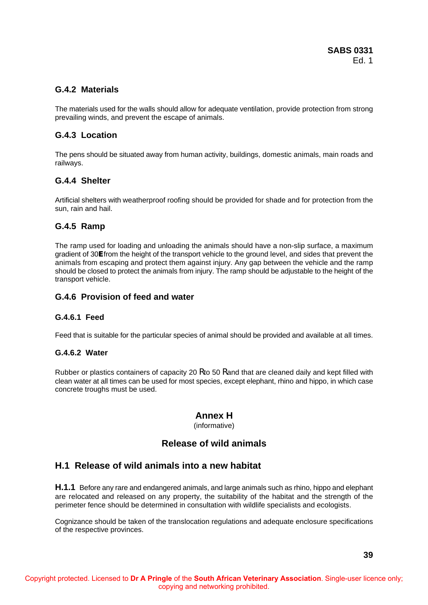# **G.4.2 Materials**

The materials used for the walls should allow for adequate ventilation, provide protection from strong prevailing winds, and prevent the escape of animals.

# **G.4.3 Location**

The pens should be situated away from human activity, buildings, domestic animals, main roads and railways.

### **G.4.4 Shelter**

Artificial shelters with weatherproof roofing should be provided for shade and for protection from the sun, rain and hail.

#### **G.4.5 Ramp**

The ramp used for loading and unloading the animals should have a non-slip surface, a maximum gradient of 30**E** from the height of the transport vehicle to the ground level, and sides that prevent the animals from escaping and protect them against injury. Any gap between the vehicle and the ramp should be closed to protect the animals from injury. The ramp should be adjustable to the height of the transport vehicle.

#### **G.4.6 Provision of feed and water**

#### **G.4.6.1 Feed**

Feed that is suitable for the particular species of animal should be provided and available at all times.

#### **G.4.6.2 Water**

Rubber or plastics containers of capacity 20 R to 50 R and that are cleaned daily and kept filled with clean water at all times can be used for most species, except elephant, rhino and hippo, in which case concrete troughs must be used.

#### **Annex H**

(informative)

# **Release of wild animals**

# **H.1 Release of wild animals into a new habitat**

**H.1.1** Before any rare and endangered animals, and large animals such as rhino, hippo and elephant are relocated and released on any property, the suitability of the habitat and the strength of the perimeter fence should be determined in consultation with wildlife specialists and ecologists.

Cognizance should be taken of the translocation regulations and adequate enclosure specifications of the respective provinces.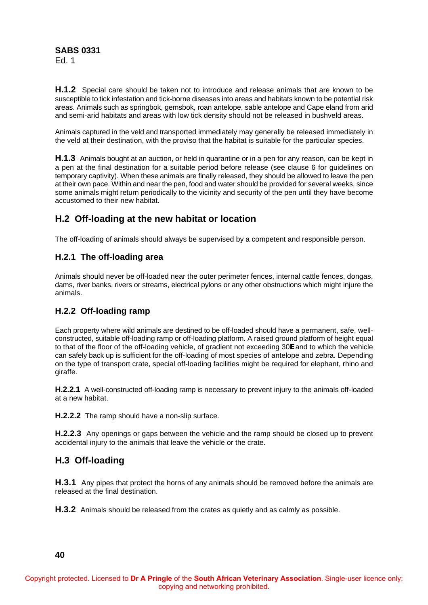Ed. 1

**H.1.2** Special care should be taken not to introduce and release animals that are known to be susceptible to tick infestation and tick-borne diseases into areas and habitats known to be potential risk areas. Animals such as springbok, gemsbok, roan antelope, sable antelope and Cape eland from arid and semi-arid habitats and areas with low tick density should not be released in bushveld areas.

Animals captured in the veld and transported immediately may generally be released immediately in the veld at their destination, with the proviso that the habitat is suitable for the particular species.

**H.1.3** Animals bought at an auction, or held in quarantine or in a pen for any reason, can be kept in a pen at the final destination for a suitable period before release (see clause 6 for guidelines on temporary captivity). When these animals are finally released, they should be allowed to leave the pen at their own pace. Within and near the pen, food and water should be provided for several weeks, since some animals might return periodically to the vicinity and security of the pen until they have become accustomed to their new habitat.

# **H.2 Off-loading at the new habitat or location**

The off-loading of animals should always be supervised by a competent and responsible person.

### **H.2.1 The off-loading area**

Animals should never be off-loaded near the outer perimeter fences, internal cattle fences, dongas, dams, river banks, rivers or streams, electrical pylons or any other obstructions which might injure the animals.

# **H.2.2 Off-loading ramp**

Each property where wild animals are destined to be off-loaded should have a permanent, safe, wellconstructed, suitable off-loading ramp or off-loading platform. A raised ground platform of height equal to that of the floor of the off-loading vehicle, of gradient not exceeding 30**E** and to which the vehicle can safely back up is sufficient for the off-loading of most species of antelope and zebra. Depending on the type of transport crate, special off-loading facilities might be required for elephant, rhino and giraffe.

**H.2.2.1** A well-constructed off-loading ramp is necessary to prevent injury to the animals off-loaded at a new habitat.

**H.2.2.2** The ramp should have a non-slip surface.

**H.2.2.3** Any openings or gaps between the vehicle and the ramp should be closed up to prevent accidental injury to the animals that leave the vehicle or the crate.

# **H.3 Off-loading**

**H.3.1** Any pipes that protect the horns of any animals should be removed before the animals are released at the final destination.

**H.3.2** Animals should be released from the crates as quietly and as calmly as possible.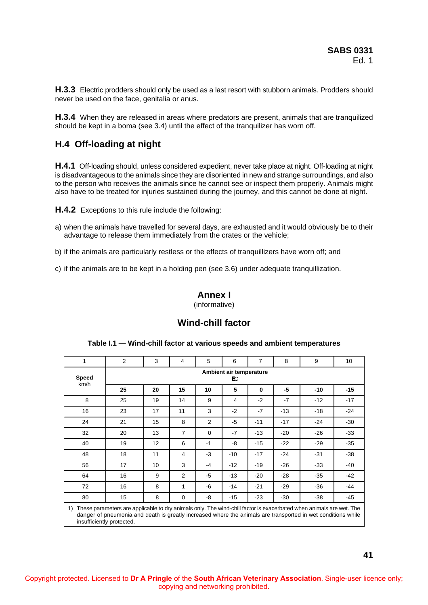**H.3.3** Electric prodders should only be used as a last resort with stubborn animals. Prodders should never be used on the face, genitalia or anus.

**H.3.4** When they are released in areas where predators are present, animals that are tranquilized should be kept in a boma (see 3.4) until the effect of the tranquilizer has worn off.

# **H.4 Off-loading at night**

**H.4.1** Off-loading should, unless considered expedient, never take place at night. Off-loading at night is disadvantageous to the animals since they are disoriented in new and strange surroundings, and also to the person who receives the animals since he cannot see or inspect them properly. Animals might also have to be treated for injuries sustained during the journey, and this cannot be done at night.

**H.4.2** Exceptions to this rule include the following:

a) when the animals have travelled for several days, are exhausted and it would obviously be to their advantage to release them immediately from the crates or the vehicle;

b) if the animals are particularly restless or the effects of tranquillizers have worn off; and

c) if the animals are to be kept in a holding pen (see 3.6) under adequate tranquillization.

#### **Annex I**

(informative)

**Wind-chill factor**

### **Table I.1 — Wind-chill factor at various speeds and ambient temperatures** 1 2 3 4 5 6 7 8 9 10 **Speed** km/h **Ambient air temperature E**C **25 20 15 10 5 0 -5 -10 -15** 8 | 25 | 19 | 14 | 9 | 4 | -2 | -7 | -12 | -17 16 | 23 | 17 | 11 | 3 | -2 | -7 | -13 | -18 | -24 24 | 21 | 15 | 8 | 2 | -5 | -11 | -17 | -24 | -30 32 20 13 7 0 -7 -13 -20 -26 -33 40 | 19 | 12 | 6 | -1 | -8 | -15 | -22 | -29 | -35 48 | 18 | 11 | 4 | -3 | -10 | -17 | -24 | -31 | -38 56 | 17 | 10 | 3 | -4 | -12 | -19 | -26 | -33 | -40 64 | 16 | 9 | 2 | -5 | -13 | -20 | -28 | -35 | -42 72 16 8 1 -6 -14 -21 -29 -36 -44 80 | 15 | 8 | 0 | -8 | -15 | -23 | -30 | -38 | -45 1) These parameters are applicable to dry animals only. The wind-chill factor is exacerbated when animals are wet. The danger of pneumonia and death is greatly increased where the animals are transported in wet conditions while insufficiently protected.

Copyright protected. Licensed to **Dr A Pringle** of the **South African Veterinary Association**. Single-user licence only; copying and networking prohibited.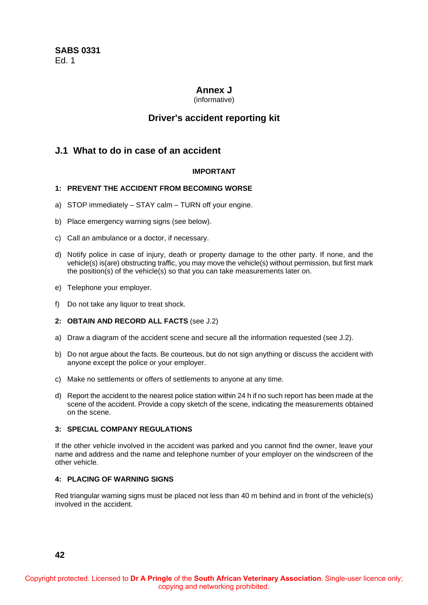### **Annex J**

(informative)

# **Driver's accident reporting kit**

# **J.1 What to do in case of an accident**

#### **IMPORTANT**

#### **1: PREVENT THE ACCIDENT FROM BECOMING WORSE**

- a) STOP immediately STAY calm TURN off your engine.
- b) Place emergency warning signs (see below).
- c) Call an ambulance or a doctor, if necessary.
- d) Notify police in case of injury, death or property damage to the other party. If none, and the vehicle(s) is(are) obstructing traffic, you may move the vehicle(s) without permission, but first mark the position(s) of the vehicle(s) so that you can take measurements later on.
- e) Telephone your employer.
- f) Do not take any liquor to treat shock.

#### **2: OBTAIN AND RECORD ALL FACTS** (see J.2)

- a) Draw a diagram of the accident scene and secure all the information requested (see J.2).
- b) Do not argue about the facts. Be courteous, but do not sign anything or discuss the accident with anyone except the police or your employer.
- c) Make no settlements or offers of settlements to anyone at any time.
- d) Report the accident to the nearest police station within 24 h if no such report has been made at the scene of the accident. Provide a copy sketch of the scene, indicating the measurements obtained on the scene.

#### **3: SPECIAL COMPANY REGULATIONS**

If the other vehicle involved in the accident was parked and you cannot find the owner, leave your name and address and the name and telephone number of your employer on the windscreen of the other vehicle.

#### **4: PLACING OF WARNING SIGNS**

Red triangular warning signs must be placed not less than 40 m behind and in front of the vehicle(s) involved in the accident.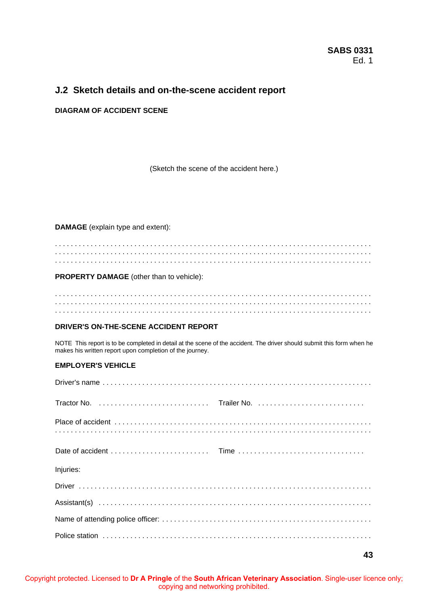# **J.2 Sketch details and on-the-scene accident report**

#### **DIAGRAM OF ACCIDENT SCENE**

(Sketch the scene of the accident here.)

#### **DAMAGE** (explain type and extent):

................................................................................ ................................................................................ ................................................................................

**PROPERTY DAMAGE** (other than to vehicle):

................................................................................ ................................................................................ ................................................................................

#### **DRIVER'S ON-THE-SCENE ACCIDENT REPORT**

NOTE This report is to be completed in detail at the scene of the accident. The driver should submit this form when he makes his written report upon completion of the journey.

#### **EMPLOYER'S VEHICLE**

| Injuries: |  |
|-----------|--|
|           |  |
|           |  |
|           |  |
|           |  |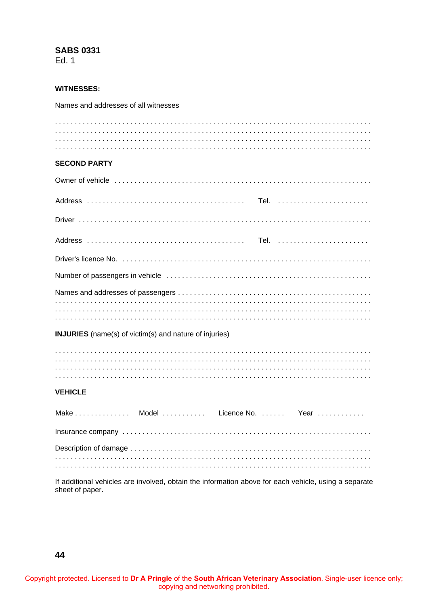Ed.  $1$ 

#### **WITNESSES:**

| Names and addresses of all witnesses                                                                                                                                                                                           |
|--------------------------------------------------------------------------------------------------------------------------------------------------------------------------------------------------------------------------------|
|                                                                                                                                                                                                                                |
| <b>SECOND PARTY</b>                                                                                                                                                                                                            |
| Owner of vehicle entertainment contains the control of the control of the control of the control of the control of the control of the control of the control of the control of the control of the control of the control of th |
|                                                                                                                                                                                                                                |
|                                                                                                                                                                                                                                |
|                                                                                                                                                                                                                                |
|                                                                                                                                                                                                                                |
|                                                                                                                                                                                                                                |
|                                                                                                                                                                                                                                |
| <b>INJURIES</b> (name(s) of victim(s) and nature of injuries)                                                                                                                                                                  |
|                                                                                                                                                                                                                                |
|                                                                                                                                                                                                                                |
| <b>VEHICLE</b>                                                                                                                                                                                                                 |
| Make  Model  Licence No.  Year                                                                                                                                                                                                 |
|                                                                                                                                                                                                                                |
|                                                                                                                                                                                                                                |
|                                                                                                                                                                                                                                |

If additional vehicles are involved, obtain the information above for each vehicle, using a separate sheet of paper.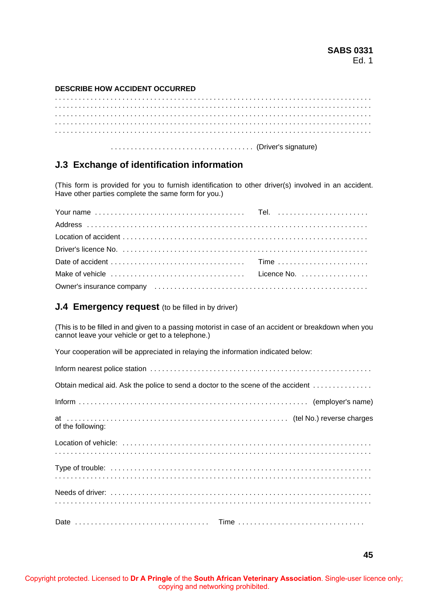#### **DESCRIBE HOW ACCIDENT OCCURRED**

. . . . . . . . . . . . . . . . . . . . . . . . . . . . . . . . . . . . (Driver's signature)

# **J.3 Exchange of identification information**

(This form is provided for you to furnish identification to other driver(s) involved in an accident. Have other parties complete the same form for you.)

#### **J.4 Emergency request** (to be filled in by driver)

(This is to be filled in and given to a passing motorist in case of an accident or breakdown when you cannot leave your vehicle or get to a telephone.)

Your cooperation will be appreciated in relaying the information indicated below:

| Obtain medical aid. Ask the police to send a doctor to the scene of the accident |
|----------------------------------------------------------------------------------|
|                                                                                  |
| of the following:                                                                |
|                                                                                  |
|                                                                                  |
|                                                                                  |
|                                                                                  |